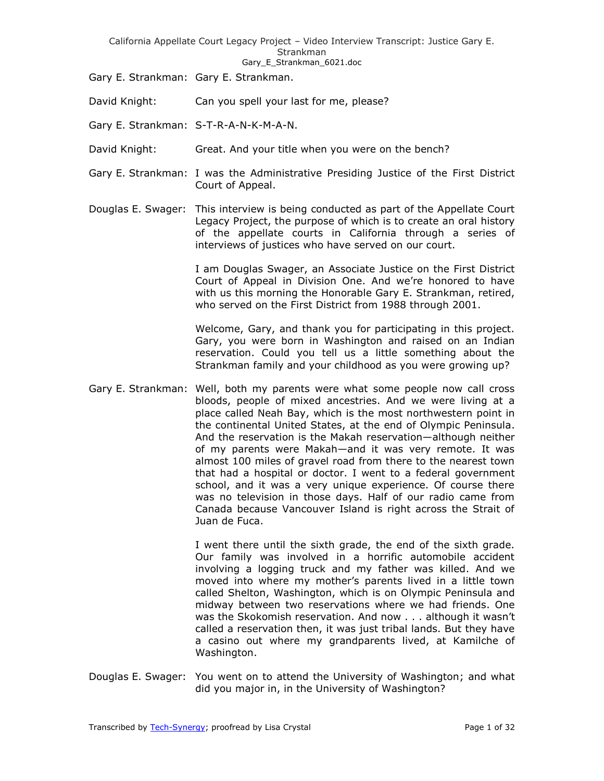Gary E Strankman 6021.doc

Gary E. Strankman: Gary E. Strankman.

David Knight: Can you spell your last for me, please?

Gary E. Strankman: S-T-R-A-N-K-M-A-N.

David Knight: Great. And your title when you were on the bench?

- Gary E. Strankman: I was the Administrative Presiding Justice of the First District Court of Appeal.
- Douglas E. Swager: This interview is being conducted as part of the Appellate Court Legacy Project, the purpose of which is to create an oral history of the appellate courts in California through a series of interviews of justices who have served on our court.

I am Douglas Swager, an Associate Justice on the First District Court of Appeal in Division One. And we're honored to have with us this morning the Honorable Gary E. Strankman, retired, who served on the First District from 1988 through 2001.

Welcome, Gary, and thank you for participating in this project. Gary, you were born in Washington and raised on an Indian reservation. Could you tell us a little something about the Strankman family and your childhood as you were growing up?

Gary E. Strankman: Well, both my parents were what some people now call cross bloods, people of mixed ancestries. And we were living at a place called Neah Bay, which is the most northwestern point in the continental United States, at the end of Olympic Peninsula. And the reservation is the Makah reservation—although neither of my parents were Makah—and it was very remote. It was almost 100 miles of gravel road from there to the nearest town that had a hospital or doctor. I went to a federal government school, and it was a very unique experience. Of course there was no television in those days. Half of our radio came from Canada because Vancouver Island is right across the Strait of Juan de Fuca.

> I went there until the sixth grade, the end of the sixth grade. Our family was involved in a horrific automobile accident involving a logging truck and my father was killed. And we moved into where my mother's parents lived in a little town called Shelton, Washington, which is on Olympic Peninsula and midway between two reservations where we had friends. One was the Skokomish reservation. And now . . . although it wasn't called a reservation then, it was just tribal lands. But they have a casino out where my grandparents lived, at Kamilche of Washington.

Douglas E. Swager: You went on to attend the University of Washington; and what did you major in, in the University of Washington?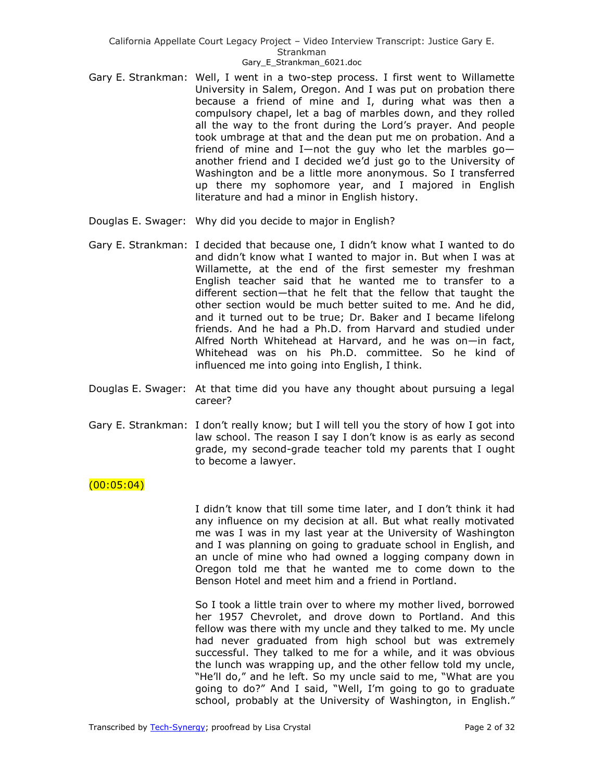- Gary E. Strankman: Well, I went in a two-step process. I first went to Willamette University in Salem, Oregon. And I was put on probation there because a friend of mine and I, during what was then a compulsory chapel, let a bag of marbles down, and they rolled all the way to the front during the Lord's prayer. And people took umbrage at that and the dean put me on probation. And a friend of mine and I—not the guy who let the marbles  $q_0$  another friend and I decided we'd just go to the University of Washington and be a little more anonymous. So I transferred up there my sophomore year, and I majored in English literature and had a minor in English history.
- Douglas E. Swager: Why did you decide to major in English?
- Gary E. Strankman: I decided that because one, I didn't know what I wanted to do and didn't know what I wanted to major in. But when I was at Willamette, at the end of the first semester my freshman English teacher said that he wanted me to transfer to a different section—that he felt that the fellow that taught the other section would be much better suited to me. And he did, and it turned out to be true; Dr. Baker and I became lifelong friends. And he had a Ph.D. from Harvard and studied under Alfred North Whitehead at Harvard, and he was on—in fact, Whitehead was on his Ph.D. committee. So he kind of influenced me into going into English, I think.
- Douglas E. Swager: At that time did you have any thought about pursuing a legal career?
- Gary E. Strankman: I don't really know; but I will tell you the story of how I got into law school. The reason I say I don't know is as early as second grade, my second-grade teacher told my parents that I ought to become a lawyer.

## $(00:05:04)$

I didn't know that till some time later, and I don't think it had any influence on my decision at all. But what really motivated me was I was in my last year at the University of Washington and I was planning on going to graduate school in English, and an uncle of mine who had owned a logging company down in Oregon told me that he wanted me to come down to the Benson Hotel and meet him and a friend in Portland.

So I took a little train over to where my mother lived, borrowed her 1957 Chevrolet, and drove down to Portland. And this fellow was there with my uncle and they talked to me. My uncle had never graduated from high school but was extremely successful. They talked to me for a while, and it was obvious the lunch was wrapping up, and the other fellow told my uncle, "He'll do," and he left. So my uncle said to me, "What are you going to do?" And I said, "Well, I'm going to go to graduate school, probably at the University of Washington, in English."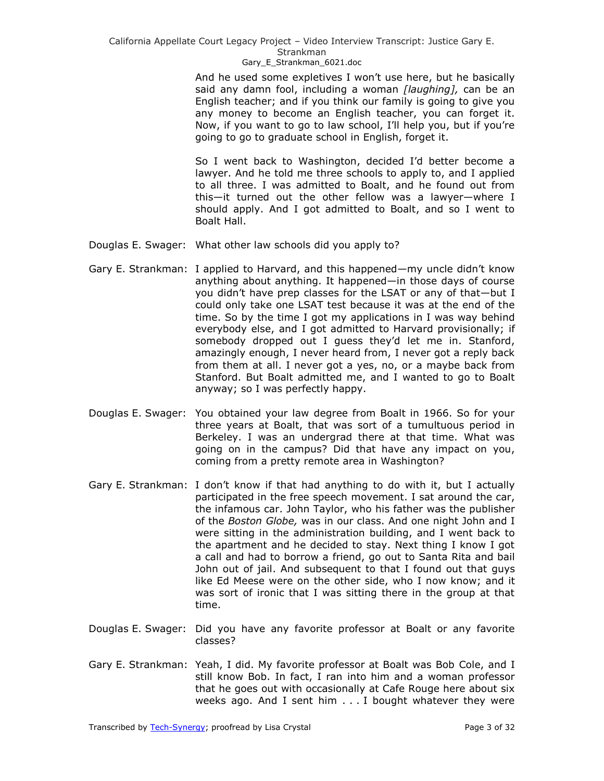## Gary E Strankman 6021.doc

And he used some expletives I won't use here, but he basically said any damn fool, including a woman *[laughing],* can be an English teacher; and if you think our family is going to give you any money to become an English teacher, you can forget it. Now, if you want to go to law school, I'll help you, but if you're going to go to graduate school in English, forget it.

So I went back to Washington, decided I'd better become a lawyer. And he told me three schools to apply to, and I applied to all three. I was admitted to Boalt, and he found out from this—it turned out the other fellow was a lawyer—where I should apply. And I got admitted to Boalt, and so I went to Boalt Hall.

- Douglas E. Swager: What other law schools did you apply to?
- Gary E. Strankman: I applied to Harvard, and this happened—my uncle didn't know anything about anything. It happened—in those days of course you didn't have prep classes for the LSAT or any of that—but I could only take one LSAT test because it was at the end of the time. So by the time I got my applications in I was way behind everybody else, and I got admitted to Harvard provisionally; if somebody dropped out I guess they'd let me in. Stanford, amazingly enough, I never heard from, I never got a reply back from them at all. I never got a yes, no, or a maybe back from Stanford. But Boalt admitted me, and I wanted to go to Boalt anyway; so I was perfectly happy.
- Douglas E. Swager: You obtained your law degree from Boalt in 1966. So for your three years at Boalt, that was sort of a tumultuous period in Berkeley. I was an undergrad there at that time. What was going on in the campus? Did that have any impact on you, coming from a pretty remote area in Washington?
- Gary E. Strankman: I don't know if that had anything to do with it, but I actually participated in the free speech movement. I sat around the car, the infamous car. John Taylor, who his father was the publisher of the *Boston Globe,* was in our class. And one night John and I were sitting in the administration building, and I went back to the apartment and he decided to stay. Next thing I know I got a call and had to borrow a friend, go out to Santa Rita and bail John out of jail. And subsequent to that I found out that guys like Ed Meese were on the other side, who I now know; and it was sort of ironic that I was sitting there in the group at that time.
- Douglas E. Swager: Did you have any favorite professor at Boalt or any favorite classes?
- Gary E. Strankman: Yeah, I did. My favorite professor at Boalt was Bob Cole, and I still know Bob. In fact, I ran into him and a woman professor that he goes out with occasionally at Cafe Rouge here about six weeks ago. And I sent him . . . I bought whatever they were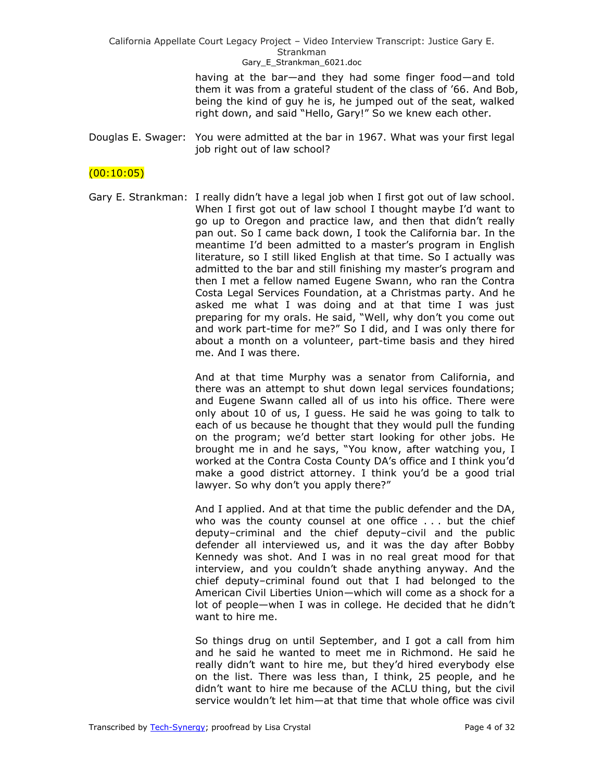> having at the bar—and they had some finger food—and told them it was from a grateful student of the class of '66. And Bob, being the kind of guy he is, he jumped out of the seat, walked right down, and said "Hello, Gary!" So we knew each other.

Douglas E. Swager: You were admitted at the bar in 1967. What was your first legal job right out of law school?

# $(00:10:05)$

Gary E. Strankman: I really didn't have a legal job when I first got out of law school. When I first got out of law school I thought maybe I'd want to go up to Oregon and practice law, and then that didn't really pan out. So I came back down, I took the California bar. In the meantime I'd been admitted to a master's program in English literature, so I still liked English at that time. So I actually was admitted to the bar and still finishing my master's program and then I met a fellow named Eugene Swann, who ran the Contra Costa Legal Services Foundation, at a Christmas party. And he asked me what I was doing and at that time I was just preparing for my orals. He said, "Well, why don't you come out and work part-time for me?" So I did, and I was only there for about a month on a volunteer, part-time basis and they hired me. And I was there.

> And at that time Murphy was a senator from California, and there was an attempt to shut down legal services foundations; and Eugene Swann called all of us into his office. There were only about 10 of us, I guess. He said he was going to talk to each of us because he thought that they would pull the funding on the program; we'd better start looking for other jobs. He brought me in and he says, "You know, after watching you, I worked at the Contra Costa County DA's office and I think you'd make a good district attorney. I think you'd be a good trial lawyer. So why don't you apply there?"

> And I applied. And at that time the public defender and the DA, who was the county counsel at one office . . . but the chief deputy–criminal and the chief deputy–civil and the public defender all interviewed us, and it was the day after Bobby Kennedy was shot. And I was in no real great mood for that interview, and you couldn't shade anything anyway. And the chief deputy–criminal found out that I had belonged to the American Civil Liberties Union—which will come as a shock for a lot of people—when I was in college. He decided that he didn't want to hire me.

> So things drug on until September, and I got a call from him and he said he wanted to meet me in Richmond. He said he really didn't want to hire me, but they'd hired everybody else on the list. There was less than, I think, 25 people, and he didn't want to hire me because of the ACLU thing, but the civil service wouldn't let him—at that time that whole office was civil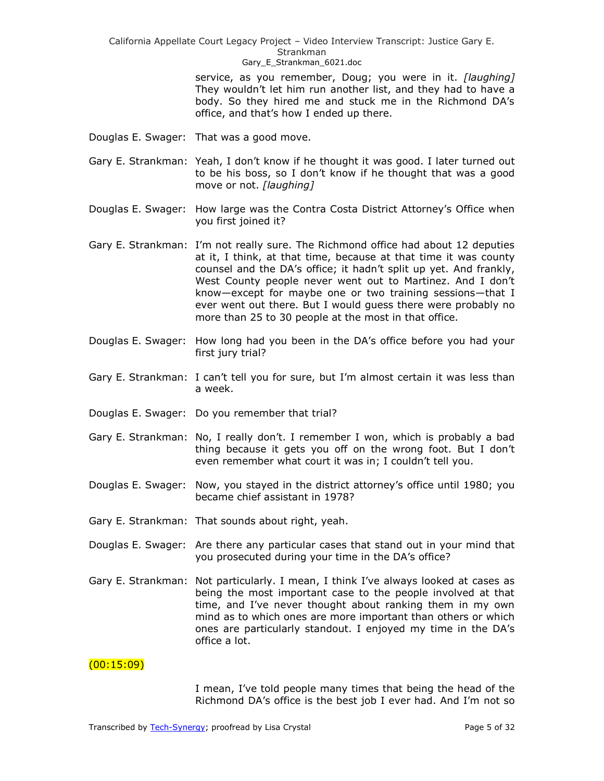Gary E Strankman 6021.doc

service, as you remember, Doug; you were in it. *[laughing]* They wouldn't let him run another list, and they had to have a body. So they hired me and stuck me in the Richmond DA's office, and that's how I ended up there.

- Douglas E. Swager: That was a good move.
- Gary E. Strankman: Yeah, I don't know if he thought it was good. I later turned out to be his boss, so I don't know if he thought that was a good move or not. *[laughing]*
- Douglas E. Swager: How large was the Contra Costa District Attorney's Office when you first joined it?
- Gary E. Strankman: I'm not really sure. The Richmond office had about 12 deputies at it, I think, at that time, because at that time it was county counsel and the DA's office; it hadn't split up yet. And frankly, West County people never went out to Martinez. And I don't know—except for maybe one or two training sessions—that I ever went out there. But I would guess there were probably no more than 25 to 30 people at the most in that office.
- Douglas E. Swager: How long had you been in the DA's office before you had your first jury trial?
- Gary E. Strankman: I can't tell you for sure, but I'm almost certain it was less than a week.
- Douglas E. Swager: Do you remember that trial?
- Gary E. Strankman: No, I really don't. I remember I won, which is probably a bad thing because it gets you off on the wrong foot. But I don't even remember what court it was in; I couldn't tell you.
- Douglas E. Swager: Now, you stayed in the district attorney's office until 1980; you became chief assistant in 1978?
- Gary E. Strankman: That sounds about right, yeah.
- Douglas E. Swager: Are there any particular cases that stand out in your mind that you prosecuted during your time in the DA's office?
- Gary E. Strankman: Not particularly. I mean, I think I've always looked at cases as being the most important case to the people involved at that time, and I've never thought about ranking them in my own mind as to which ones are more important than others or which ones are particularly standout. I enjoyed my time in the DA's office a lot.

## $(00:15:09)$

I mean, I've told people many times that being the head of the Richmond DA's office is the best job I ever had. And I'm not so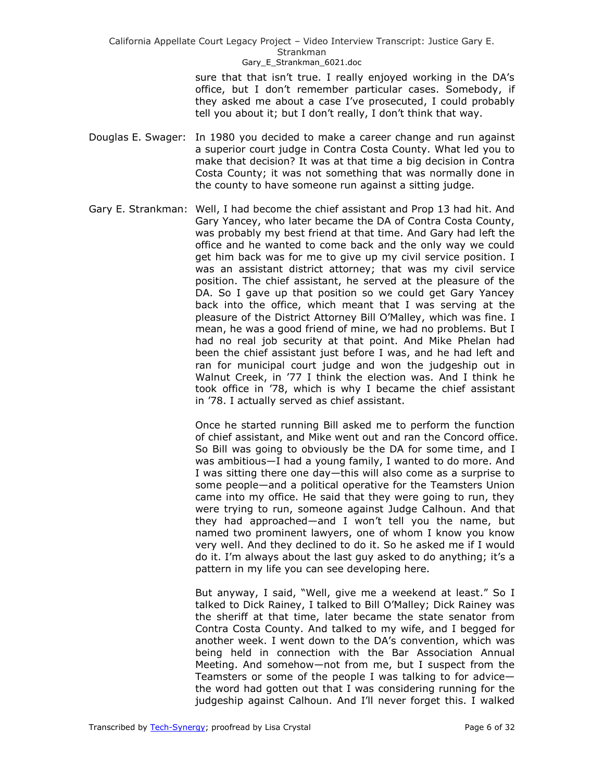> sure that that isn't true. I really enjoyed working in the DA's office, but I don't remember particular cases. Somebody, if they asked me about a case I've prosecuted, I could probably tell you about it; but I don't really, I don't think that way.

- Douglas E. Swager: In 1980 you decided to make a career change and run against a superior court judge in Contra Costa County. What led you to make that decision? It was at that time a big decision in Contra Costa County; it was not something that was normally done in the county to have someone run against a sitting judge.
- Gary E. Strankman: Well, I had become the chief assistant and Prop 13 had hit. And Gary Yancey, who later became the DA of Contra Costa County, was probably my best friend at that time. And Gary had left the office and he wanted to come back and the only way we could get him back was for me to give up my civil service position. I was an assistant district attorney; that was my civil service position. The chief assistant, he served at the pleasure of the DA. So I gave up that position so we could get Gary Yancey back into the office, which meant that I was serving at the pleasure of the District Attorney Bill O'Malley, which was fine. I mean, he was a good friend of mine, we had no problems. But I had no real job security at that point. And Mike Phelan had been the chief assistant just before I was, and he had left and ran for municipal court judge and won the judgeship out in Walnut Creek, in '77 I think the election was. And I think he took office in '78, which is why I became the chief assistant in '78. I actually served as chief assistant.

Once he started running Bill asked me to perform the function of chief assistant, and Mike went out and ran the Concord office. So Bill was going to obviously be the DA for some time, and I was ambitious—I had a young family, I wanted to do more. And I was sitting there one day—this will also come as a surprise to some people—and a political operative for the Teamsters Union came into my office. He said that they were going to run, they were trying to run, someone against Judge Calhoun. And that they had approached—and I won't tell you the name, but named two prominent lawyers, one of whom I know you know very well. And they declined to do it. So he asked me if I would do it. I'm always about the last guy asked to do anything; it's a pattern in my life you can see developing here.

But anyway, I said, "Well, give me a weekend at least." So I talked to Dick Rainey, I talked to Bill O'Malley; Dick Rainey was the sheriff at that time, later became the state senator from Contra Costa County. And talked to my wife, and I begged for another week. I went down to the DA's convention, which was being held in connection with the Bar Association Annual Meeting. And somehow—not from me, but I suspect from the Teamsters or some of the people I was talking to for advice the word had gotten out that I was considering running for the judgeship against Calhoun. And I'll never forget this. I walked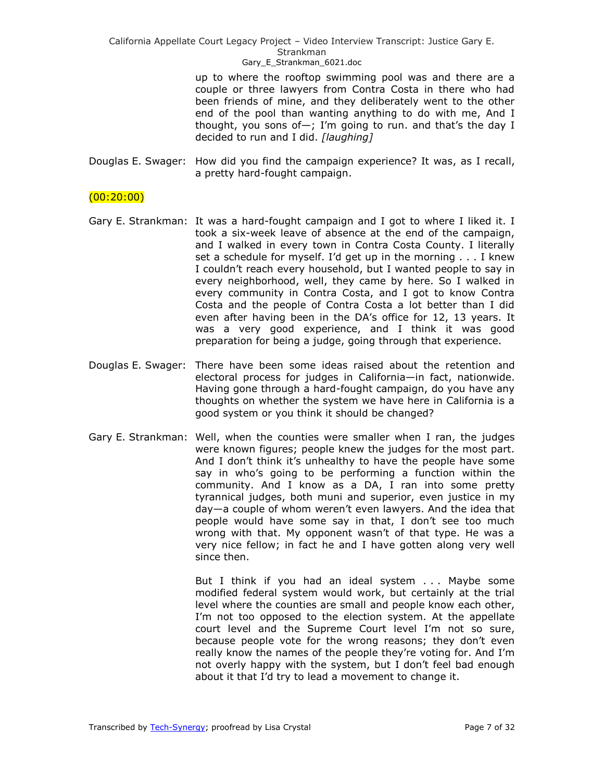Gary E Strankman 6021.doc

up to where the rooftop swimming pool was and there are a couple or three lawyers from Contra Costa in there who had been friends of mine, and they deliberately went to the other end of the pool than wanting anything to do with me, And I thought, you sons of-; I'm going to run. and that's the day I decided to run and I did. *[laughing]* 

Douglas E. Swager: How did you find the campaign experience? It was, as I recall, a pretty hard-fought campaign.

## $(00:20:00)$

- Gary E. Strankman: It was a hard-fought campaign and I got to where I liked it. I took a six-week leave of absence at the end of the campaign, and I walked in every town in Contra Costa County. I literally set a schedule for myself. I'd get up in the morning . . . I knew I couldn't reach every household, but I wanted people to say in every neighborhood, well, they came by here. So I walked in every community in Contra Costa, and I got to know Contra Costa and the people of Contra Costa a lot better than I did even after having been in the DA's office for 12, 13 years. It was a very good experience, and I think it was good preparation for being a judge, going through that experience.
- Douglas E. Swager: There have been some ideas raised about the retention and electoral process for judges in California—in fact, nationwide. Having gone through a hard-fought campaign, do you have any thoughts on whether the system we have here in California is a good system or you think it should be changed?
- Gary E. Strankman: Well, when the counties were smaller when I ran, the judges were known figures; people knew the judges for the most part. And I don't think it's unhealthy to have the people have some say in who's going to be performing a function within the community. And I know as a DA, I ran into some pretty tyrannical judges, both muni and superior, even justice in my day—a couple of whom weren't even lawyers. And the idea that people would have some say in that, I don't see too much wrong with that. My opponent wasn't of that type. He was a very nice fellow; in fact he and I have gotten along very well since then.

But I think if you had an ideal system . . . Maybe some modified federal system would work, but certainly at the trial level where the counties are small and people know each other, I'm not too opposed to the election system. At the appellate court level and the Supreme Court level I'm not so sure, because people vote for the wrong reasons; they don't even really know the names of the people they're voting for. And I'm not overly happy with the system, but I don't feel bad enough about it that I'd try to lead a movement to change it.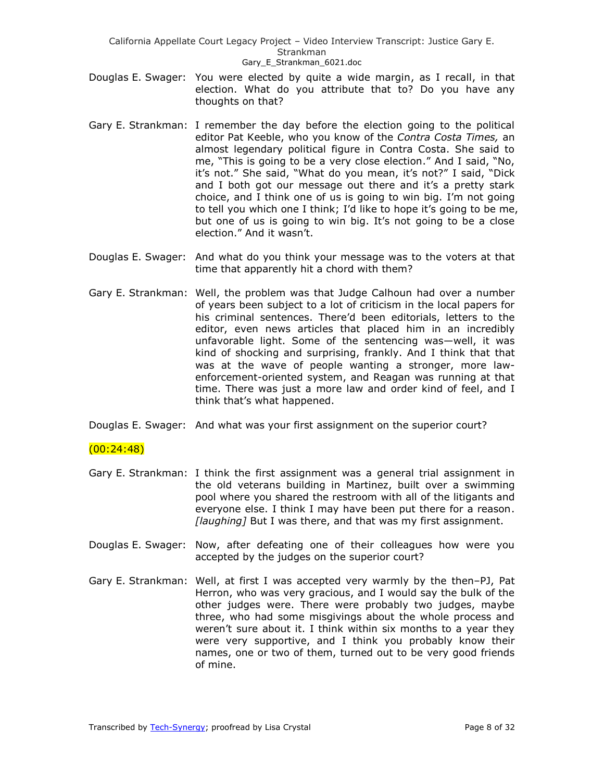- Douglas E. Swager: You were elected by quite a wide margin, as I recall, in that election. What do you attribute that to? Do you have any thoughts on that?
- Gary E. Strankman: I remember the day before the election going to the political editor Pat Keeble, who you know of the *Contra Costa Times,* an almost legendary political figure in Contra Costa. She said to me, "This is going to be a very close election." And I said, "No, it's not." She said, "What do you mean, it's not?" I said, "Dick and I both got our message out there and it's a pretty stark choice, and I think one of us is going to win big. I'm not going to tell you which one I think; I'd like to hope it's going to be me, but one of us is going to win big. It's not going to be a close election." And it wasn't.
- Douglas E. Swager: And what do you think your message was to the voters at that time that apparently hit a chord with them?
- Gary E. Strankman: Well, the problem was that Judge Calhoun had over a number of years been subject to a lot of criticism in the local papers for his criminal sentences. There'd been editorials, letters to the editor, even news articles that placed him in an incredibly unfavorable light. Some of the sentencing was—well, it was kind of shocking and surprising, frankly. And I think that that was at the wave of people wanting a stronger, more lawenforcement-oriented system, and Reagan was running at that time. There was just a more law and order kind of feel, and I think that's what happened.
- Douglas E. Swager: And what was your first assignment on the superior court?

## (00:24:48)

- Gary E. Strankman: I think the first assignment was a general trial assignment in the old veterans building in Martinez, built over a swimming pool where you shared the restroom with all of the litigants and everyone else. I think I may have been put there for a reason. *[laughing]* But I was there, and that was my first assignment.
- Douglas E. Swager: Now, after defeating one of their colleagues how were you accepted by the judges on the superior court?
- Gary E. Strankman: Well, at first I was accepted very warmly by the then–PJ, Pat Herron, who was very gracious, and I would say the bulk of the other judges were. There were probably two judges, maybe three, who had some misgivings about the whole process and weren't sure about it. I think within six months to a year they were very supportive, and I think you probably know their names, one or two of them, turned out to be very good friends of mine.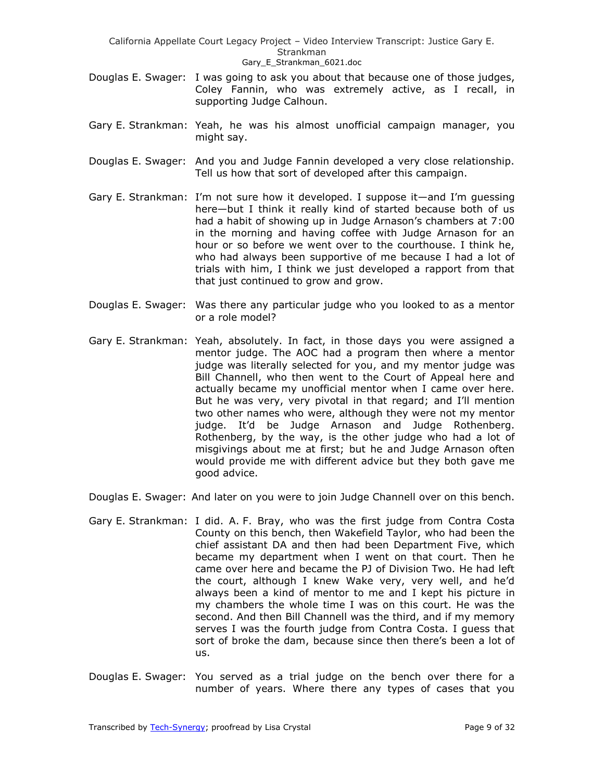- Douglas E. Swager: I was going to ask you about that because one of those judges, Coley Fannin, who was extremely active, as I recall, in supporting Judge Calhoun.
- Gary E. Strankman: Yeah, he was his almost unofficial campaign manager, you might say.
- Douglas E. Swager: And you and Judge Fannin developed a very close relationship. Tell us how that sort of developed after this campaign.
- Gary E. Strankman: I'm not sure how it developed. I suppose it—and I'm guessing here—but I think it really kind of started because both of us had a habit of showing up in Judge Arnason's chambers at 7:00 in the morning and having coffee with Judge Arnason for an hour or so before we went over to the courthouse. I think he, who had always been supportive of me because I had a lot of trials with him, I think we just developed a rapport from that that just continued to grow and grow.
- Douglas E. Swager: Was there any particular judge who you looked to as a mentor or a role model?
- Gary E. Strankman: Yeah, absolutely. In fact, in those days you were assigned a mentor judge. The AOC had a program then where a mentor judge was literally selected for you, and my mentor judge was Bill Channell, who then went to the Court of Appeal here and actually became my unofficial mentor when I came over here. But he was very, very pivotal in that regard; and I'll mention two other names who were, although they were not my mentor judge. It'd be Judge Arnason and Judge Rothenberg. Rothenberg, by the way, is the other judge who had a lot of misgivings about me at first; but he and Judge Arnason often would provide me with different advice but they both gave me good advice.
- Douglas E. Swager: And later on you were to join Judge Channell over on this bench.
- Gary E. Strankman: I did. A. F. Bray, who was the first judge from Contra Costa County on this bench, then Wakefield Taylor, who had been the chief assistant DA and then had been Department Five, which became my department when I went on that court. Then he came over here and became the PJ of Division Two. He had left the court, although I knew Wake very, very well, and he'd always been a kind of mentor to me and I kept his picture in my chambers the whole time I was on this court. He was the second. And then Bill Channell was the third, and if my memory serves I was the fourth judge from Contra Costa. I guess that sort of broke the dam, because since then there's been a lot of us.
- Douglas E. Swager: You served as a trial judge on the bench over there for a number of years. Where there any types of cases that you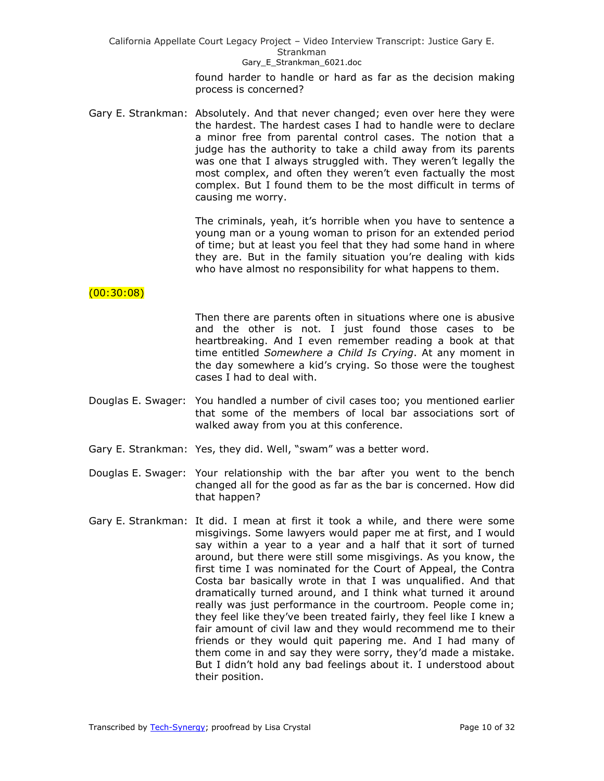### Gary E Strankman 6021.doc

found harder to handle or hard as far as the decision making process is concerned?

Gary E. Strankman: Absolutely. And that never changed; even over here they were the hardest. The hardest cases I had to handle were to declare a minor free from parental control cases. The notion that a judge has the authority to take a child away from its parents was one that I always struggled with. They weren't legally the most complex, and often they weren't even factually the most complex. But I found them to be the most difficult in terms of causing me worry.

> The criminals, yeah, it's horrible when you have to sentence a young man or a young woman to prison for an extended period of time; but at least you feel that they had some hand in where they are. But in the family situation you're dealing with kids who have almost no responsibility for what happens to them.

# $(00:30:08)$

Then there are parents often in situations where one is abusive and the other is not. I just found those cases to be heartbreaking. And I even remember reading a book at that time entitled *Somewhere a Child Is Crying*. At any moment in the day somewhere a kid's crying. So those were the toughest cases I had to deal with.

- Douglas E. Swager: You handled a number of civil cases too; you mentioned earlier that some of the members of local bar associations sort of walked away from you at this conference.
- Gary E. Strankman: Yes, they did. Well, "swam" was a better word.
- Douglas E. Swager: Your relationship with the bar after you went to the bench changed all for the good as far as the bar is concerned. How did that happen?
- Gary E. Strankman: It did. I mean at first it took a while, and there were some misgivings. Some lawyers would paper me at first, and I would say within a year to a year and a half that it sort of turned around, but there were still some misgivings. As you know, the first time I was nominated for the Court of Appeal, the Contra Costa bar basically wrote in that I was unqualified. And that dramatically turned around, and I think what turned it around really was just performance in the courtroom. People come in; they feel like they've been treated fairly, they feel like I knew a fair amount of civil law and they would recommend me to their friends or they would quit papering me. And I had many of them come in and say they were sorry, they'd made a mistake. But I didn't hold any bad feelings about it. I understood about their position.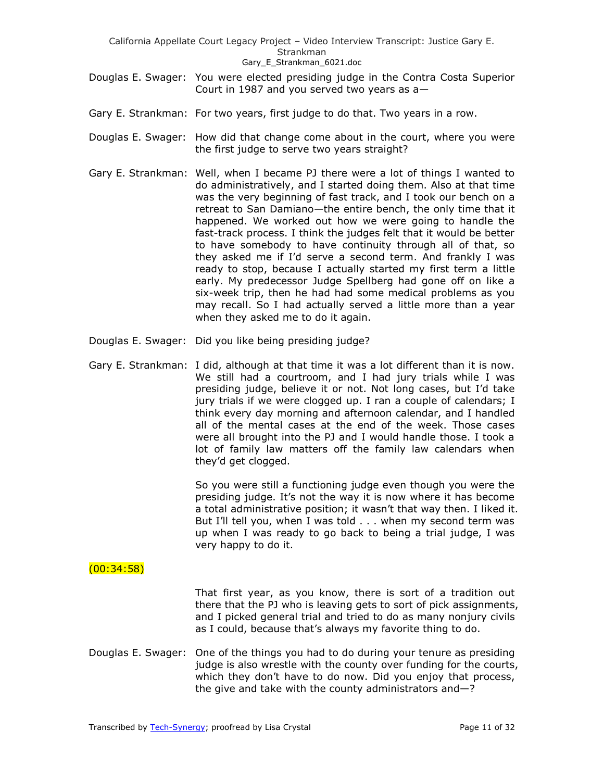- California Appellate Court Legacy Project Video Interview Transcript: Justice Gary E. Strankman Gary E Strankman 6021.doc
- Douglas E. Swager: You were elected presiding judge in the Contra Costa Superior Court in 1987 and you served two years as a—
- Gary E. Strankman: For two years, first judge to do that. Two years in a row.
- Douglas E. Swager: How did that change come about in the court, where you were the first judge to serve two years straight?
- Gary E. Strankman: Well, when I became PJ there were a lot of things I wanted to do administratively, and I started doing them. Also at that time was the very beginning of fast track, and I took our bench on a retreat to San Damiano—the entire bench, the only time that it happened. We worked out how we were going to handle the fast-track process. I think the judges felt that it would be better to have somebody to have continuity through all of that, so they asked me if I'd serve a second term. And frankly I was ready to stop, because I actually started my first term a little early. My predecessor Judge Spellberg had gone off on like a six-week trip, then he had had some medical problems as you may recall. So I had actually served a little more than a year when they asked me to do it again.
- Douglas E. Swager: Did you like being presiding judge?
- Gary E. Strankman: I did, although at that time it was a lot different than it is now. We still had a courtroom, and I had jury trials while I was presiding judge, believe it or not. Not long cases, but I'd take jury trials if we were clogged up. I ran a couple of calendars; I think every day morning and afternoon calendar, and I handled all of the mental cases at the end of the week. Those cases were all brought into the PJ and I would handle those. I took a lot of family law matters off the family law calendars when they'd get clogged.

So you were still a functioning judge even though you were the presiding judge. It's not the way it is now where it has become a total administrative position; it wasn't that way then. I liked it. But I'll tell you, when I was told . . . when my second term was up when I was ready to go back to being a trial judge, I was very happy to do it.

## $(00:34:58)$

That first year, as you know, there is sort of a tradition out there that the PJ who is leaving gets to sort of pick assignments, and I picked general trial and tried to do as many nonjury civils as I could, because that's always my favorite thing to do.

Douglas E. Swager: One of the things you had to do during your tenure as presiding judge is also wrestle with the county over funding for the courts, which they don't have to do now. Did you enjoy that process, the give and take with the county administrators and—?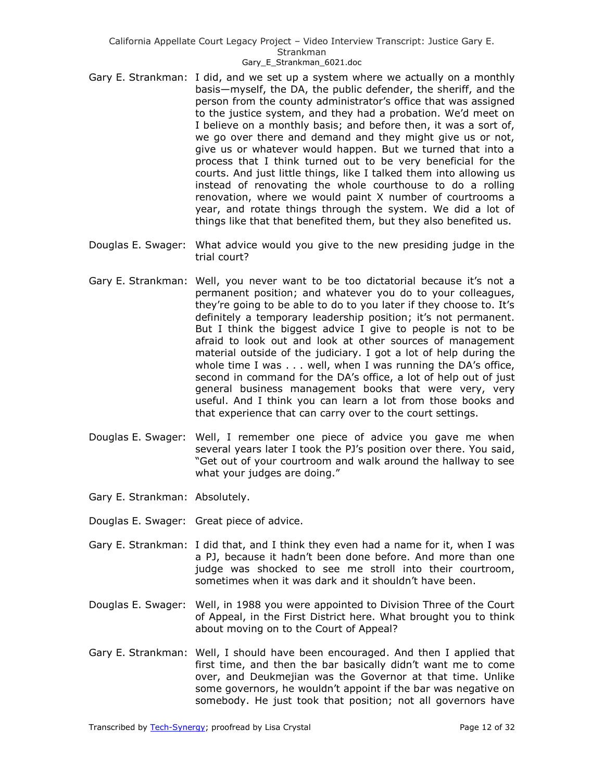- Gary E. Strankman: I did, and we set up a system where we actually on a monthly basis—myself, the DA, the public defender, the sheriff, and the person from the county administrator's office that was assigned to the justice system, and they had a probation. We'd meet on I believe on a monthly basis; and before then, it was a sort of, we go over there and demand and they might give us or not, give us or whatever would happen. But we turned that into a process that I think turned out to be very beneficial for the courts. And just little things, like I talked them into allowing us instead of renovating the whole courthouse to do a rolling renovation, where we would paint X number of courtrooms a year, and rotate things through the system. We did a lot of things like that that benefited them, but they also benefited us.
- Douglas E. Swager: What advice would you give to the new presiding judge in the trial court?
- Gary E. Strankman: Well, you never want to be too dictatorial because it's not a permanent position; and whatever you do to your colleagues, they're going to be able to do to you later if they choose to. It's definitely a temporary leadership position; it's not permanent. But I think the biggest advice I give to people is not to be afraid to look out and look at other sources of management material outside of the judiciary. I got a lot of help during the whole time I was . . . well, when I was running the DA's office, second in command for the DA's office, a lot of help out of just general business management books that were very, very useful. And I think you can learn a lot from those books and that experience that can carry over to the court settings.
- Douglas E. Swager: Well, I remember one piece of advice you gave me when several years later I took the PJ's position over there. You said, "Get out of your courtroom and walk around the hallway to see what your judges are doing."
- Gary E. Strankman: Absolutely.
- Douglas E. Swager: Great piece of advice.
- Gary E. Strankman: I did that, and I think they even had a name for it, when I was a PJ, because it hadn't been done before. And more than one judge was shocked to see me stroll into their courtroom, sometimes when it was dark and it shouldn't have been.
- Douglas E. Swager: Well, in 1988 you were appointed to Division Three of the Court of Appeal, in the First District here. What brought you to think about moving on to the Court of Appeal?
- Gary E. Strankman: Well, I should have been encouraged. And then I applied that first time, and then the bar basically didn't want me to come over, and Deukmejian was the Governor at that time. Unlike some governors, he wouldn't appoint if the bar was negative on somebody. He just took that position; not all governors have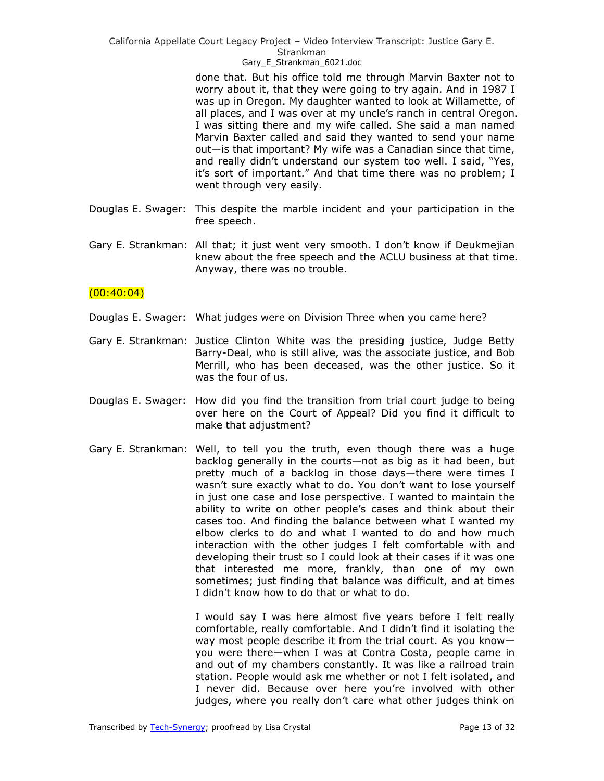Gary E Strankman 6021.doc

done that. But his office told me through Marvin Baxter not to worry about it, that they were going to try again. And in 1987 I was up in Oregon. My daughter wanted to look at Willamette, of all places, and I was over at my uncle's ranch in central Oregon. I was sitting there and my wife called. She said a man named Marvin Baxter called and said they wanted to send your name out—is that important? My wife was a Canadian since that time, and really didn't understand our system too well. I said, "Yes, it's sort of important." And that time there was no problem; I went through very easily.

- Douglas E. Swager: This despite the marble incident and your participation in the free speech.
- Gary E. Strankman: All that; it just went very smooth. I don't know if Deukmejian knew about the free speech and the ACLU business at that time. Anyway, there was no trouble.

## $(00:40:04)$

- Douglas E. Swager: What judges were on Division Three when you came here?
- Gary E. Strankman: Justice Clinton White was the presiding justice, Judge Betty Barry-Deal, who is still alive, was the associate justice, and Bob Merrill, who has been deceased, was the other justice. So it was the four of us.
- Douglas E. Swager: How did you find the transition from trial court judge to being over here on the Court of Appeal? Did you find it difficult to make that adjustment?
- Gary E. Strankman: Well, to tell you the truth, even though there was a huge backlog generally in the courts—not as big as it had been, but pretty much of a backlog in those days—there were times I wasn't sure exactly what to do. You don't want to lose yourself in just one case and lose perspective. I wanted to maintain the ability to write on other people's cases and think about their cases too. And finding the balance between what I wanted my elbow clerks to do and what I wanted to do and how much interaction with the other judges I felt comfortable with and developing their trust so I could look at their cases if it was one that interested me more, frankly, than one of my own sometimes; just finding that balance was difficult, and at times I didn't know how to do that or what to do.

I would say I was here almost five years before I felt really comfortable, really comfortable. And I didn't find it isolating the way most people describe it from the trial court. As you know you were there—when I was at Contra Costa, people came in and out of my chambers constantly. It was like a railroad train station. People would ask me whether or not I felt isolated, and I never did. Because over here you're involved with other judges, where you really don't care what other judges think on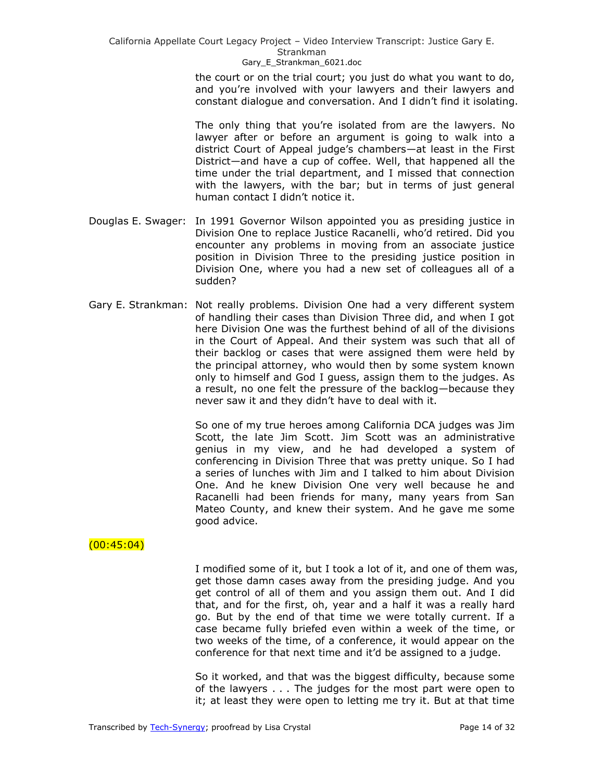> the court or on the trial court; you just do what you want to do, and you're involved with your lawyers and their lawyers and constant dialogue and conversation. And I didn't find it isolating.

> The only thing that you're isolated from are the lawyers. No lawyer after or before an argument is going to walk into a district Court of Appeal judge's chambers—at least in the First District—and have a cup of coffee. Well, that happened all the time under the trial department, and I missed that connection with the lawyers, with the bar; but in terms of just general human contact I didn't notice it.

- Douglas E. Swager: In 1991 Governor Wilson appointed you as presiding justice in Division One to replace Justice Racanelli, who'd retired. Did you encounter any problems in moving from an associate justice position in Division Three to the presiding justice position in Division One, where you had a new set of colleagues all of a sudden?
- Gary E. Strankman: Not really problems. Division One had a very different system of handling their cases than Division Three did, and when I got here Division One was the furthest behind of all of the divisions in the Court of Appeal. And their system was such that all of their backlog or cases that were assigned them were held by the principal attorney, who would then by some system known only to himself and God I guess, assign them to the judges. As a result, no one felt the pressure of the backlog—because they never saw it and they didn't have to deal with it.

So one of my true heroes among California DCA judges was Jim Scott, the late Jim Scott. Jim Scott was an administrative genius in my view, and he had developed a system of conferencing in Division Three that was pretty unique. So I had a series of lunches with Jim and I talked to him about Division One. And he knew Division One very well because he and Racanelli had been friends for many, many years from San Mateo County, and knew their system. And he gave me some good advice.

## $(00:45:04)$

I modified some of it, but I took a lot of it, and one of them was, get those damn cases away from the presiding judge. And you get control of all of them and you assign them out. And I did that, and for the first, oh, year and a half it was a really hard go. But by the end of that time we were totally current. If a case became fully briefed even within a week of the time, or two weeks of the time, of a conference, it would appear on the conference for that next time and it'd be assigned to a judge.

So it worked, and that was the biggest difficulty, because some of the lawyers . . . The judges for the most part were open to it; at least they were open to letting me try it. But at that time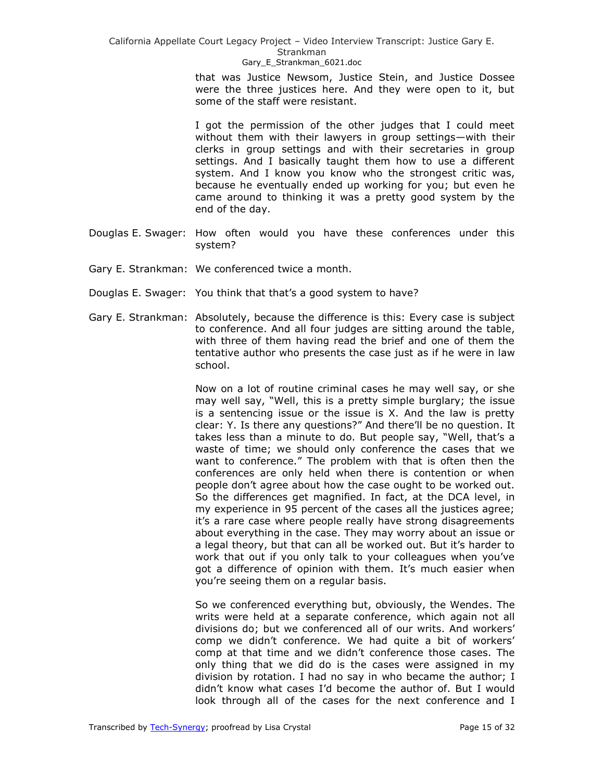Strankman

Gary E Strankman 6021.doc

that was Justice Newsom, Justice Stein, and Justice Dossee were the three justices here. And they were open to it, but some of the staff were resistant.

I got the permission of the other judges that I could meet without them with their lawyers in group settings—with their clerks in group settings and with their secretaries in group settings. And I basically taught them how to use a different system. And I know you know who the strongest critic was, because he eventually ended up working for you; but even he came around to thinking it was a pretty good system by the end of the day.

- Douglas E. Swager: How often would you have these conferences under this system?
- Gary E. Strankman: We conferenced twice a month.
- Douglas E. Swager: You think that that's a good system to have?
- Gary E. Strankman: Absolutely, because the difference is this: Every case is subject to conference. And all four judges are sitting around the table, with three of them having read the brief and one of them the tentative author who presents the case just as if he were in law school.

Now on a lot of routine criminal cases he may well say, or she may well say, "Well, this is a pretty simple burglary; the issue is a sentencing issue or the issue is X. And the law is pretty clear: Y. Is there any questions?" And there'll be no question. It takes less than a minute to do. But people say, "Well, that's a waste of time; we should only conference the cases that we want to conference." The problem with that is often then the conferences are only held when there is contention or when people don't agree about how the case ought to be worked out. So the differences get magnified. In fact, at the DCA level, in my experience in 95 percent of the cases all the justices agree; it's a rare case where people really have strong disagreements about everything in the case. They may worry about an issue or a legal theory, but that can all be worked out. But it's harder to work that out if you only talk to your colleagues when you've got a difference of opinion with them. It's much easier when you're seeing them on a regular basis.

So we conferenced everything but, obviously, the Wendes. The writs were held at a separate conference, which again not all divisions do; but we conferenced all of our writs. And workers' comp we didn't conference. We had quite a bit of workers' comp at that time and we didn't conference those cases. The only thing that we did do is the cases were assigned in my division by rotation. I had no say in who became the author; I didn't know what cases I'd become the author of. But I would look through all of the cases for the next conference and I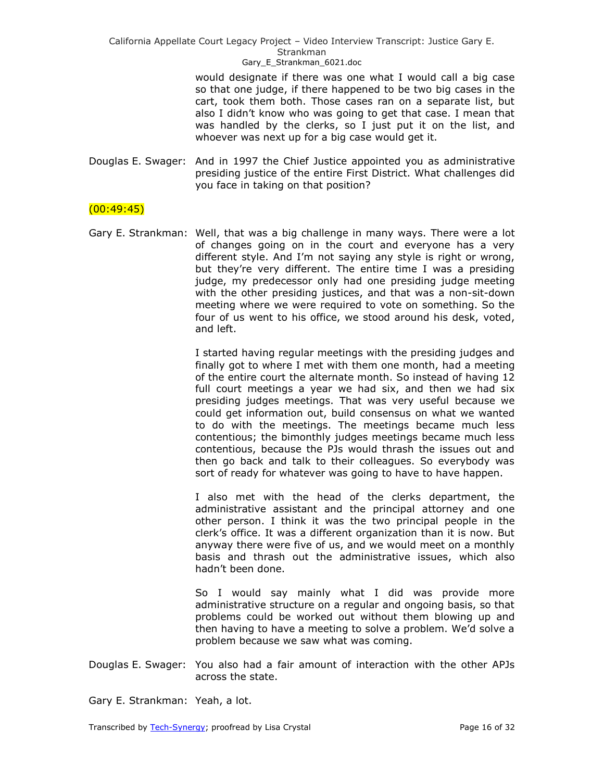Gary E Strankman 6021.doc

would designate if there was one what I would call a big case so that one judge, if there happened to be two big cases in the cart, took them both. Those cases ran on a separate list, but also I didn't know who was going to get that case. I mean that was handled by the clerks, so I just put it on the list, and whoever was next up for a big case would get it.

Douglas E. Swager: And in 1997 the Chief Justice appointed you as administrative presiding justice of the entire First District. What challenges did you face in taking on that position?

## $(00:49:45)$

Gary E. Strankman: Well, that was a big challenge in many ways. There were a lot of changes going on in the court and everyone has a very different style. And I'm not saying any style is right or wrong, but they're very different. The entire time I was a presiding judge, my predecessor only had one presiding judge meeting with the other presiding justices, and that was a non-sit-down meeting where we were required to vote on something. So the four of us went to his office, we stood around his desk, voted, and left.

> I started having regular meetings with the presiding judges and finally got to where I met with them one month, had a meeting of the entire court the alternate month. So instead of having 12 full court meetings a year we had six, and then we had six presiding judges meetings. That was very useful because we could get information out, build consensus on what we wanted to do with the meetings. The meetings became much less contentious; the bimonthly judges meetings became much less contentious, because the PJs would thrash the issues out and then go back and talk to their colleagues. So everybody was sort of ready for whatever was going to have to have happen.

> I also met with the head of the clerks department, the administrative assistant and the principal attorney and one other person. I think it was the two principal people in the clerk's office. It was a different organization than it is now. But anyway there were five of us, and we would meet on a monthly basis and thrash out the administrative issues, which also hadn't been done.

> So I would say mainly what I did was provide more administrative structure on a regular and ongoing basis, so that problems could be worked out without them blowing up and then having to have a meeting to solve a problem. We'd solve a problem because we saw what was coming.

Douglas E. Swager: You also had a fair amount of interaction with the other APJs across the state.

Gary E. Strankman: Yeah, a lot.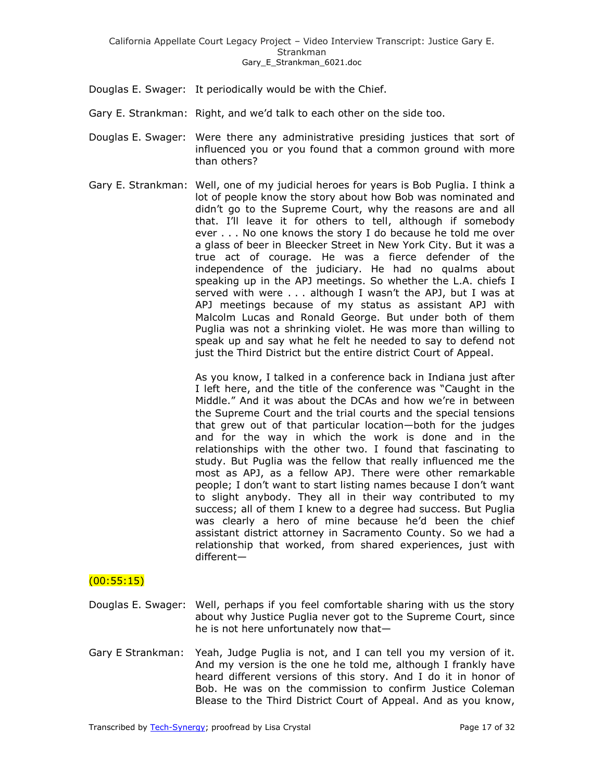- Douglas E. Swager: It periodically would be with the Chief.
- Gary E. Strankman: Right, and we'd talk to each other on the side too.
- Douglas E. Swager: Were there any administrative presiding justices that sort of influenced you or you found that a common ground with more than others?
- Gary E. Strankman: Well, one of my judicial heroes for years is Bob Puglia. I think a lot of people know the story about how Bob was nominated and didn't go to the Supreme Court, why the reasons are and all that. I'll leave it for others to tell, although if somebody ever . . . No one knows the story I do because he told me over a glass of beer in Bleecker Street in New York City. But it was a true act of courage. He was a fierce defender of the independence of the judiciary. He had no qualms about speaking up in the APJ meetings. So whether the L.A. chiefs I served with were . . . although I wasn't the APJ, but I was at APJ meetings because of my status as assistant APJ with Malcolm Lucas and Ronald George. But under both of them Puglia was not a shrinking violet. He was more than willing to speak up and say what he felt he needed to say to defend not just the Third District but the entire district Court of Appeal.

As you know, I talked in a conference back in Indiana just after I left here, and the title of the conference was "Caught in the Middle." And it was about the DCAs and how we're in between the Supreme Court and the trial courts and the special tensions that grew out of that particular location—both for the judges and for the way in which the work is done and in the relationships with the other two. I found that fascinating to study. But Puglia was the fellow that really influenced me the most as APJ, as a fellow APJ. There were other remarkable people; I don't want to start listing names because I don't want to slight anybody. They all in their way contributed to my success; all of them I knew to a degree had success. But Puglia was clearly a hero of mine because he'd been the chief assistant district attorney in Sacramento County. So we had a relationship that worked, from shared experiences, just with different—

# $(00:55:15)$

- Douglas E. Swager: Well, perhaps if you feel comfortable sharing with us the story about why Justice Puglia never got to the Supreme Court, since he is not here unfortunately now that—
- Gary E Strankman: Yeah, Judge Puglia is not, and I can tell you my version of it. And my version is the one he told me, although I frankly have heard different versions of this story. And I do it in honor of Bob. He was on the commission to confirm Justice Coleman Blease to the Third District Court of Appeal. And as you know,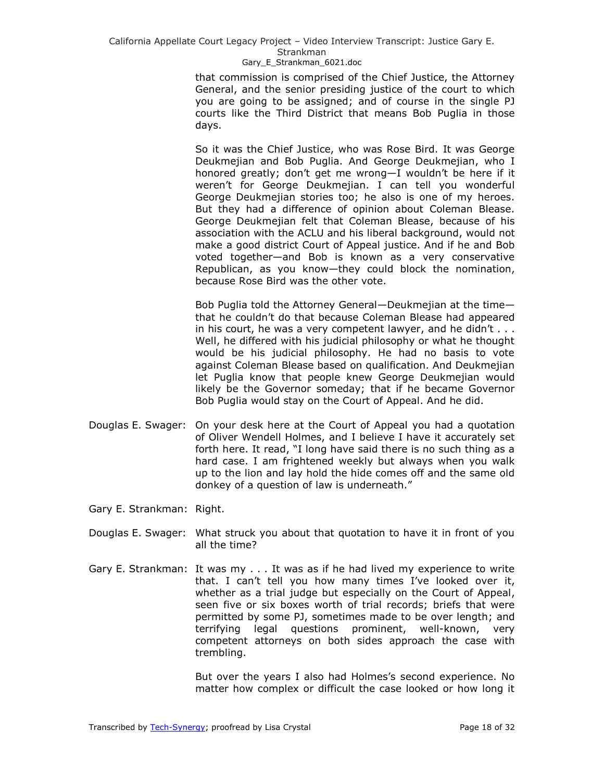## Gary E Strankman 6021.doc

that commission is comprised of the Chief Justice, the Attorney General, and the senior presiding justice of the court to which you are going to be assigned; and of course in the single PJ courts like the Third District that means Bob Puglia in those days.

So it was the Chief Justice, who was Rose Bird. It was George Deukmejian and Bob Puglia. And George Deukmejian, who I honored greatly; don't get me wrong—I wouldn't be here if it weren't for George Deukmejian. I can tell you wonderful George Deukmejian stories too; he also is one of my heroes. But they had a difference of opinion about Coleman Blease. George Deukmejian felt that Coleman Blease, because of his association with the ACLU and his liberal background, would not make a good district Court of Appeal justice. And if he and Bob voted together—and Bob is known as a very conservative Republican, as you know—they could block the nomination, because Rose Bird was the other vote.

Bob Puglia told the Attorney General—Deukmejian at the time that he couldn't do that because Coleman Blease had appeared in his court, he was a very competent lawyer, and he didn't . . . Well, he differed with his judicial philosophy or what he thought would be his judicial philosophy. He had no basis to vote against Coleman Blease based on qualification. And Deukmejian let Puglia know that people knew George Deukmejian would likely be the Governor someday; that if he became Governor Bob Puglia would stay on the Court of Appeal. And he did.

- Douglas E. Swager: On your desk here at the Court of Appeal you had a quotation of Oliver Wendell Holmes, and I believe I have it accurately set forth here. It read, "I long have said there is no such thing as a hard case. I am frightened weekly but always when you walk up to the lion and lay hold the hide comes off and the same old donkey of a question of law is underneath."
- Gary E. Strankman: Right.
- Douglas E. Swager: What struck you about that quotation to have it in front of you all the time?
- Gary E. Strankman: It was my . . . It was as if he had lived my experience to write that. I can't tell you how many times I've looked over it, whether as a trial judge but especially on the Court of Appeal, seen five or six boxes worth of trial records; briefs that were permitted by some PJ, sometimes made to be over length; and terrifying legal questions prominent, well-known, very competent attorneys on both sides approach the case with trembling.

But over the years I also had Holmes's second experience. No matter how complex or difficult the case looked or how long it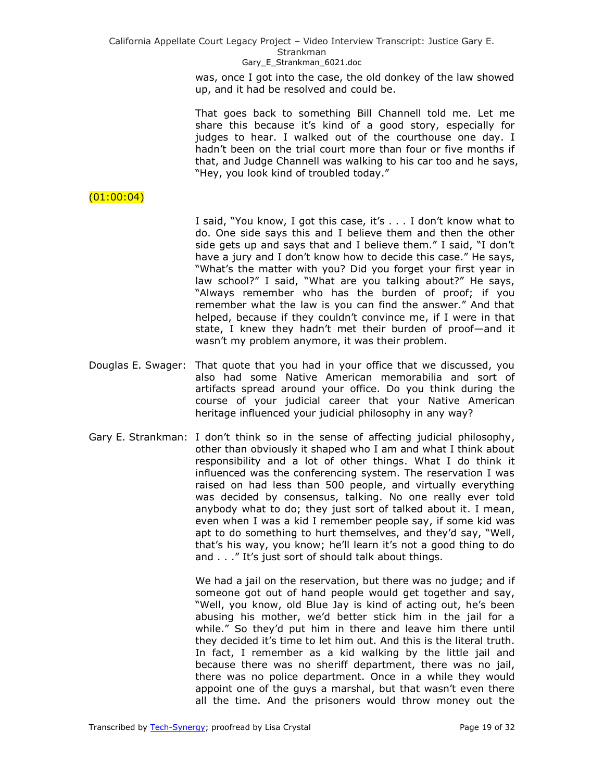Gary E Strankman 6021.doc

was, once I got into the case, the old donkey of the law showed up, and it had be resolved and could be.

That goes back to something Bill Channell told me. Let me share this because it's kind of a good story, especially for judges to hear. I walked out of the courthouse one day. I hadn't been on the trial court more than four or five months if that, and Judge Channell was walking to his car too and he says, "Hey, you look kind of troubled today."

# $(01:00:04)$

I said, "You know, I got this case, it's . . . I don't know what to do. One side says this and I believe them and then the other side gets up and says that and I believe them." I said, "I don't have a jury and I don't know how to decide this case." He says, "What's the matter with you? Did you forget your first year in law school?" I said, "What are you talking about?" He says, "Always remember who has the burden of proof; if you remember what the law is you can find the answer." And that helped, because if they couldn't convince me, if I were in that state, I knew they hadn't met their burden of proof—and it wasn't my problem anymore, it was their problem.

- Douglas E. Swager: That quote that you had in your office that we discussed, you also had some Native American memorabilia and sort of artifacts spread around your office. Do you think during the course of your judicial career that your Native American heritage influenced your judicial philosophy in any way?
- Gary E. Strankman: I don't think so in the sense of affecting judicial philosophy, other than obviously it shaped who I am and what I think about responsibility and a lot of other things. What I do think it influenced was the conferencing system. The reservation I was raised on had less than 500 people, and virtually everything was decided by consensus, talking. No one really ever told anybody what to do; they just sort of talked about it. I mean, even when I was a kid I remember people say, if some kid was apt to do something to hurt themselves, and they'd say, "Well, that's his way, you know; he'll learn it's not a good thing to do and . . ." It's just sort of should talk about things.

We had a jail on the reservation, but there was no judge; and if someone got out of hand people would get together and say, "Well, you know, old Blue Jay is kind of acting out, he's been abusing his mother, we'd better stick him in the jail for a while." So they'd put him in there and leave him there until they decided it's time to let him out. And this is the literal truth. In fact, I remember as a kid walking by the little jail and because there was no sheriff department, there was no jail, there was no police department. Once in a while they would appoint one of the guys a marshal, but that wasn't even there all the time. And the prisoners would throw money out the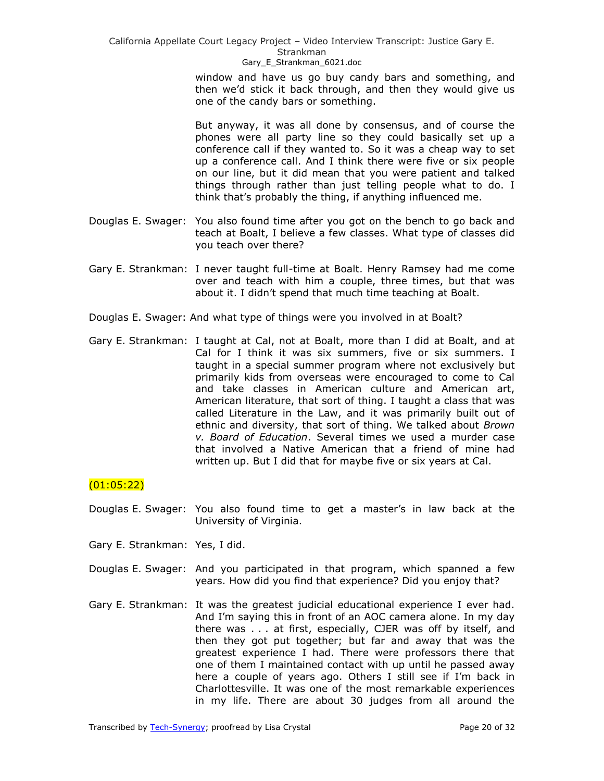Gary E Strankman 6021.doc

window and have us go buy candy bars and something, and then we'd stick it back through, and then they would give us one of the candy bars or something.

But anyway, it was all done by consensus, and of course the phones were all party line so they could basically set up a conference call if they wanted to. So it was a cheap way to set up a conference call. And I think there were five or six people on our line, but it did mean that you were patient and talked things through rather than just telling people what to do. I think that's probably the thing, if anything influenced me.

- Douglas E. Swager: You also found time after you got on the bench to go back and teach at Boalt, I believe a few classes. What type of classes did you teach over there?
- Gary E. Strankman: I never taught full-time at Boalt. Henry Ramsey had me come over and teach with him a couple, three times, but that was about it. I didn't spend that much time teaching at Boalt.
- Douglas E. Swager: And what type of things were you involved in at Boalt?
- Gary E. Strankman: I taught at Cal, not at Boalt, more than I did at Boalt, and at Cal for I think it was six summers, five or six summers. I taught in a special summer program where not exclusively but primarily kids from overseas were encouraged to come to Cal and take classes in American culture and American art, American literature, that sort of thing. I taught a class that was called Literature in the Law, and it was primarily built out of ethnic and diversity, that sort of thing. We talked about *Brown v. Board of Education*. Several times we used a murder case that involved a Native American that a friend of mine had written up. But I did that for maybe five or six years at Cal.

## (01:05:22)

- Douglas E. Swager: You also found time to get a master's in law back at the University of Virginia.
- Gary E. Strankman: Yes, I did.
- Douglas E. Swager: And you participated in that program, which spanned a few years. How did you find that experience? Did you enjoy that?
- Gary E. Strankman: It was the greatest judicial educational experience I ever had. And I'm saying this in front of an AOC camera alone. In my day there was . . . at first, especially, CJER was off by itself, and then they got put together; but far and away that was the greatest experience I had. There were professors there that one of them I maintained contact with up until he passed away here a couple of years ago. Others I still see if I'm back in Charlottesville. It was one of the most remarkable experiences in my life. There are about 30 judges from all around the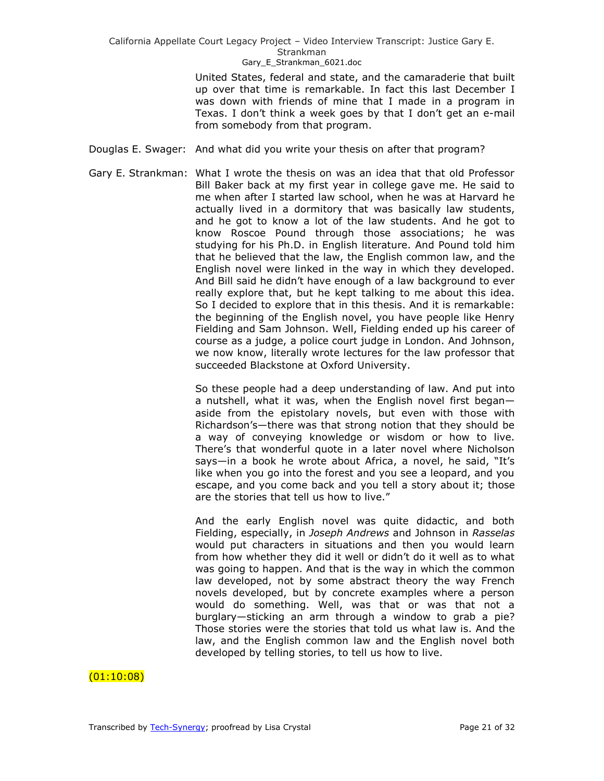United States, federal and state, and the camaraderie that built up over that time is remarkable. In fact this last December I was down with friends of mine that I made in a program in Texas. I don't think a week goes by that I don't get an e-mail from somebody from that program.

- Douglas E. Swager: And what did you write your thesis on after that program?
- Gary E. Strankman: What I wrote the thesis on was an idea that that old Professor Bill Baker back at my first year in college gave me. He said to me when after I started law school, when he was at Harvard he actually lived in a dormitory that was basically law students, and he got to know a lot of the law students. And he got to know Roscoe Pound through those associations; he was studying for his Ph.D. in English literature. And Pound told him that he believed that the law, the English common law, and the English novel were linked in the way in which they developed. And Bill said he didn't have enough of a law background to ever really explore that, but he kept talking to me about this idea. So I decided to explore that in this thesis. And it is remarkable: the beginning of the English novel, you have people like Henry Fielding and Sam Johnson. Well, Fielding ended up his career of course as a judge, a police court judge in London. And Johnson, we now know, literally wrote lectures for the law professor that succeeded Blackstone at Oxford University.

So these people had a deep understanding of law. And put into a nutshell, what it was, when the English novel first began aside from the epistolary novels, but even with those with Richardson's—there was that strong notion that they should be a way of conveying knowledge or wisdom or how to live. There's that wonderful quote in a later novel where Nicholson says—in a book he wrote about Africa, a novel, he said, "It's like when you go into the forest and you see a leopard, and you escape, and you come back and you tell a story about it; those are the stories that tell us how to live."

And the early English novel was quite didactic, and both Fielding, especially, in *Joseph Andrews* and Johnson in *Rasselas* would put characters in situations and then you would learn from how whether they did it well or didn't do it well as to what was going to happen. And that is the way in which the common law developed, not by some abstract theory the way French novels developed, but by concrete examples where a person would do something. Well, was that or was that not a burglary—sticking an arm through a window to grab a pie? Those stories were the stories that told us what law is. And the law, and the English common law and the English novel both developed by telling stories, to tell us how to live.

# (01:10:08)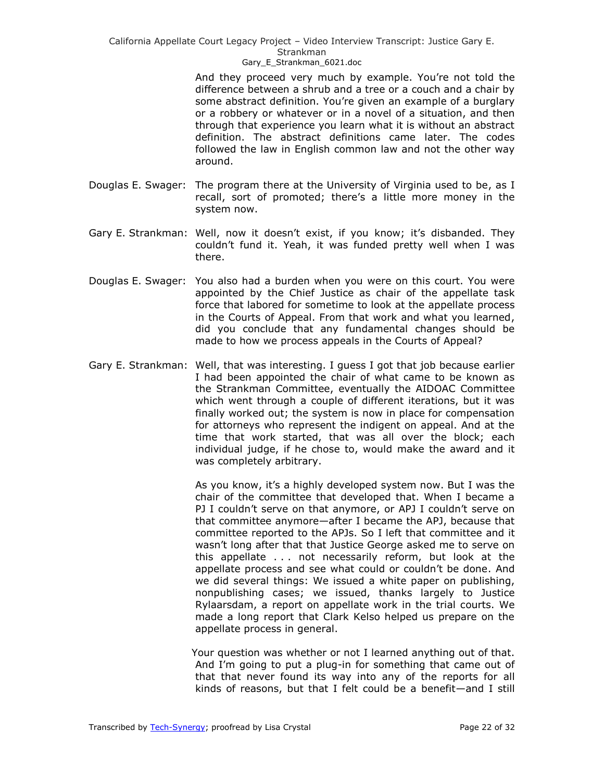### Gary E Strankman 6021.doc

And they proceed very much by example. You're not told the difference between a shrub and a tree or a couch and a chair by some abstract definition. You're given an example of a burglary or a robbery or whatever or in a novel of a situation, and then through that experience you learn what it is without an abstract definition. The abstract definitions came later. The codes followed the law in English common law and not the other way around.

- Douglas E. Swager: The program there at the University of Virginia used to be, as I recall, sort of promoted; there's a little more money in the system now.
- Gary E. Strankman: Well, now it doesn't exist, if you know; it's disbanded. They couldn't fund it. Yeah, it was funded pretty well when I was there.
- Douglas E. Swager: You also had a burden when you were on this court. You were appointed by the Chief Justice as chair of the appellate task force that labored for sometime to look at the appellate process in the Courts of Appeal. From that work and what you learned, did you conclude that any fundamental changes should be made to how we process appeals in the Courts of Appeal?
- Gary E. Strankman: Well, that was interesting. I guess I got that job because earlier I had been appointed the chair of what came to be known as the Strankman Committee, eventually the AIDOAC Committee which went through a couple of different iterations, but it was finally worked out; the system is now in place for compensation for attorneys who represent the indigent on appeal. And at the time that work started, that was all over the block; each individual judge, if he chose to, would make the award and it was completely arbitrary.

As you know, it's a highly developed system now. But I was the chair of the committee that developed that. When I became a PJ I couldn't serve on that anymore, or APJ I couldn't serve on that committee anymore—after I became the APJ, because that committee reported to the APJs. So I left that committee and it wasn't long after that that Justice George asked me to serve on this appellate . . . not necessarily reform, but look at the appellate process and see what could or couldn't be done. And we did several things: We issued a white paper on publishing, nonpublishing cases; we issued, thanks largely to Justice Rylaarsdam, a report on appellate work in the trial courts. We made a long report that Clark Kelso helped us prepare on the appellate process in general.

Your question was whether or not I learned anything out of that. And I'm going to put a plug-in for something that came out of that that never found its way into any of the reports for all kinds of reasons, but that I felt could be a benefit—and I still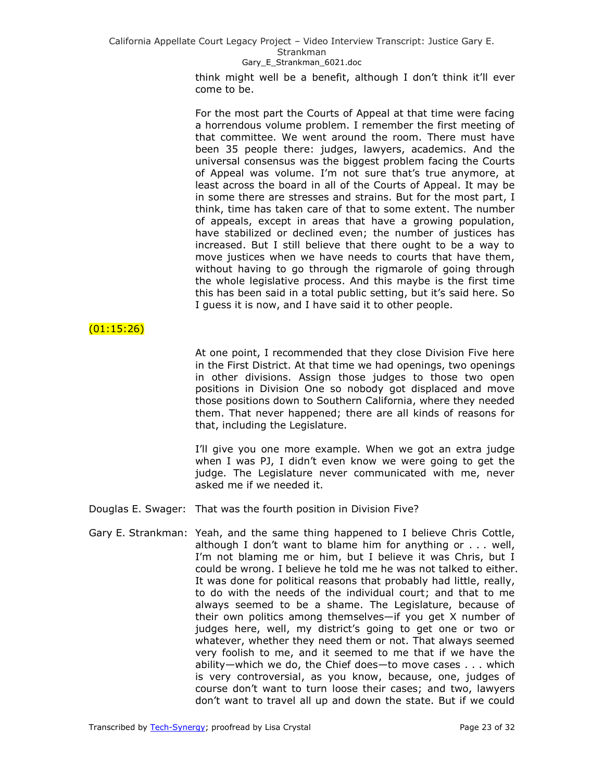## Gary E Strankman 6021.doc

think might well be a benefit, although I don't think it'll ever come to be.

For the most part the Courts of Appeal at that time were facing a horrendous volume problem. I remember the first meeting of that committee. We went around the room. There must have been 35 people there: judges, lawyers, academics. And the universal consensus was the biggest problem facing the Courts of Appeal was volume. I'm not sure that's true anymore, at least across the board in all of the Courts of Appeal. It may be in some there are stresses and strains. But for the most part, I think, time has taken care of that to some extent. The number of appeals, except in areas that have a growing population, have stabilized or declined even; the number of justices has increased. But I still believe that there ought to be a way to move justices when we have needs to courts that have them, without having to go through the rigmarole of going through the whole legislative process. And this maybe is the first time this has been said in a total public setting, but it's said here. So I guess it is now, and I have said it to other people.

## $(01:15:26)$

At one point, I recommended that they close Division Five here in the First District. At that time we had openings, two openings in other divisions. Assign those judges to those two open positions in Division One so nobody got displaced and move those positions down to Southern California, where they needed them. That never happened; there are all kinds of reasons for that, including the Legislature.

I'll give you one more example. When we got an extra judge when I was PJ, I didn't even know we were going to get the judge. The Legislature never communicated with me, never asked me if we needed it.

Douglas E. Swager: That was the fourth position in Division Five?

Gary E. Strankman: Yeah, and the same thing happened to I believe Chris Cottle, although I don't want to blame him for anything or . . . well, I'm not blaming me or him, but I believe it was Chris, but I could be wrong. I believe he told me he was not talked to either. It was done for political reasons that probably had little, really, to do with the needs of the individual court; and that to me always seemed to be a shame. The Legislature, because of their own politics among themselves—if you get X number of judges here, well, my district's going to get one or two or whatever, whether they need them or not. That always seemed very foolish to me, and it seemed to me that if we have the ability—which we do, the Chief does—to move cases . . . which is very controversial, as you know, because, one, judges of course don't want to turn loose their cases; and two, lawyers don't want to travel all up and down the state. But if we could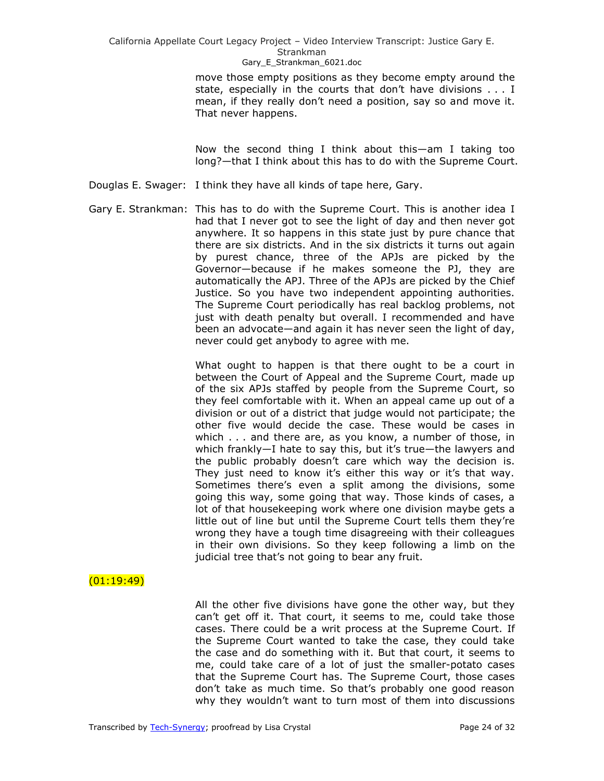move those empty positions as they become empty around the state, especially in the courts that don't have divisions . . . I mean, if they really don't need a position, say so and move it. That never happens.

Now the second thing I think about this—am I taking too long?—that I think about this has to do with the Supreme Court.

- Douglas E. Swager: I think they have all kinds of tape here, Gary.
- Gary E. Strankman: This has to do with the Supreme Court. This is another idea I had that I never got to see the light of day and then never got anywhere. It so happens in this state just by pure chance that there are six districts. And in the six districts it turns out again by purest chance, three of the APJs are picked by the Governor—because if he makes someone the PJ, they are automatically the APJ. Three of the APJs are picked by the Chief Justice. So you have two independent appointing authorities. The Supreme Court periodically has real backlog problems, not just with death penalty but overall. I recommended and have been an advocate—and again it has never seen the light of day, never could get anybody to agree with me.

What ought to happen is that there ought to be a court in between the Court of Appeal and the Supreme Court, made up of the six APJs staffed by people from the Supreme Court, so they feel comfortable with it. When an appeal came up out of a division or out of a district that judge would not participate; the other five would decide the case. These would be cases in which . . . and there are, as you know, a number of those, in which frankly—I hate to say this, but it's true—the lawyers and the public probably doesn't care which way the decision is. They just need to know it's either this way or it's that way. Sometimes there's even a split among the divisions, some going this way, some going that way. Those kinds of cases, a lot of that housekeeping work where one division maybe gets a little out of line but until the Supreme Court tells them they're wrong they have a tough time disagreeing with their colleagues in their own divisions. So they keep following a limb on the judicial tree that's not going to bear any fruit.

## $(01:19:49)$

All the other five divisions have gone the other way, but they can't get off it. That court, it seems to me, could take those cases. There could be a writ process at the Supreme Court. If the Supreme Court wanted to take the case, they could take the case and do something with it. But that court, it seems to me, could take care of a lot of just the smaller-potato cases that the Supreme Court has. The Supreme Court, those cases don't take as much time. So that's probably one good reason why they wouldn't want to turn most of them into discussions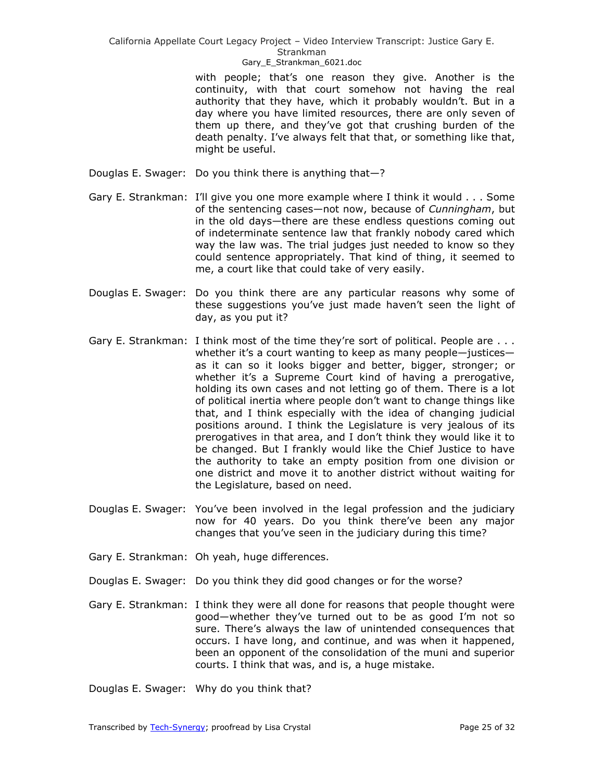### Gary E Strankman 6021.doc

with people; that's one reason they give. Another is the continuity, with that court somehow not having the real authority that they have, which it probably wouldn't. But in a day where you have limited resources, there are only seven of them up there, and they've got that crushing burden of the death penalty. I've always felt that that, or something like that, might be useful.

- Douglas E. Swager: Do you think there is anything that—?
- Gary E. Strankman: I'll give you one more example where I think it would . . . Some of the sentencing cases—not now, because of *Cunningham*, but in the old days—there are these endless questions coming out of indeterminate sentence law that frankly nobody cared which way the law was. The trial judges just needed to know so they could sentence appropriately. That kind of thing, it seemed to me, a court like that could take of very easily.
- Douglas E. Swager: Do you think there are any particular reasons why some of these suggestions you've just made haven't seen the light of day, as you put it?
- Gary E. Strankman: I think most of the time they're sort of political. People are ... whether it's a court wanting to keep as many people-justicesas it can so it looks bigger and better, bigger, stronger; or whether it's a Supreme Court kind of having a prerogative, holding its own cases and not letting go of them. There is a lot of political inertia where people don't want to change things like that, and I think especially with the idea of changing judicial positions around. I think the Legislature is very jealous of its prerogatives in that area, and I don't think they would like it to be changed. But I frankly would like the Chief Justice to have the authority to take an empty position from one division or one district and move it to another district without waiting for the Legislature, based on need.
- Douglas E. Swager: You've been involved in the legal profession and the judiciary now for 40 years. Do you think there've been any major changes that you've seen in the judiciary during this time?
- Gary E. Strankman: Oh yeah, huge differences.
- Douglas E. Swager: Do you think they did good changes or for the worse?
- Gary E. Strankman: I think they were all done for reasons that people thought were good—whether they've turned out to be as good I'm not so sure. There's always the law of unintended consequences that occurs. I have long, and continue, and was when it happened, been an opponent of the consolidation of the muni and superior courts. I think that was, and is, a huge mistake.

Douglas E. Swager: Why do you think that?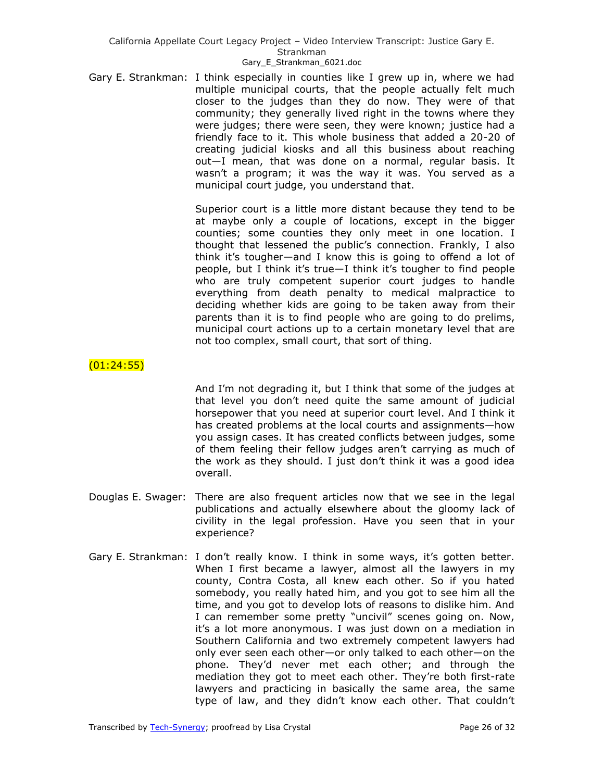Gary E. Strankman: I think especially in counties like I grew up in, where we had multiple municipal courts, that the people actually felt much closer to the judges than they do now. They were of that community; they generally lived right in the towns where they were judges; there were seen, they were known; justice had a friendly face to it. This whole business that added a 20-20 of creating judicial kiosks and all this business about reaching out—I mean, that was done on a normal, regular basis. It wasn't a program; it was the way it was. You served as a municipal court judge, you understand that.

> Superior court is a little more distant because they tend to be at maybe only a couple of locations, except in the bigger counties; some counties they only meet in one location. I thought that lessened the public's connection. Frankly, I also think it's tougher—and I know this is going to offend a lot of people, but I think it's true—I think it's tougher to find people who are truly competent superior court judges to handle everything from death penalty to medical malpractice to deciding whether kids are going to be taken away from their parents than it is to find people who are going to do prelims, municipal court actions up to a certain monetary level that are not too complex, small court, that sort of thing.

# $(01:24:55)$

And I'm not degrading it, but I think that some of the judges at that level you don't need quite the same amount of judicial horsepower that you need at superior court level. And I think it has created problems at the local courts and assignments—how you assign cases. It has created conflicts between judges, some of them feeling their fellow judges aren't carrying as much of the work as they should. I just don't think it was a good idea overall.

- Douglas E. Swager: There are also frequent articles now that we see in the legal publications and actually elsewhere about the gloomy lack of civility in the legal profession. Have you seen that in your experience?
- Gary E. Strankman: I don't really know. I think in some ways, it's gotten better. When I first became a lawyer, almost all the lawyers in my county, Contra Costa, all knew each other. So if you hated somebody, you really hated him, and you got to see him all the time, and you got to develop lots of reasons to dislike him. And I can remember some pretty "uncivil" scenes going on. Now, it's a lot more anonymous. I was just down on a mediation in Southern California and two extremely competent lawyers had only ever seen each other—or only talked to each other—on the phone. They'd never met each other; and through the mediation they got to meet each other. They're both first-rate lawyers and practicing in basically the same area, the same type of law, and they didn't know each other. That couldn't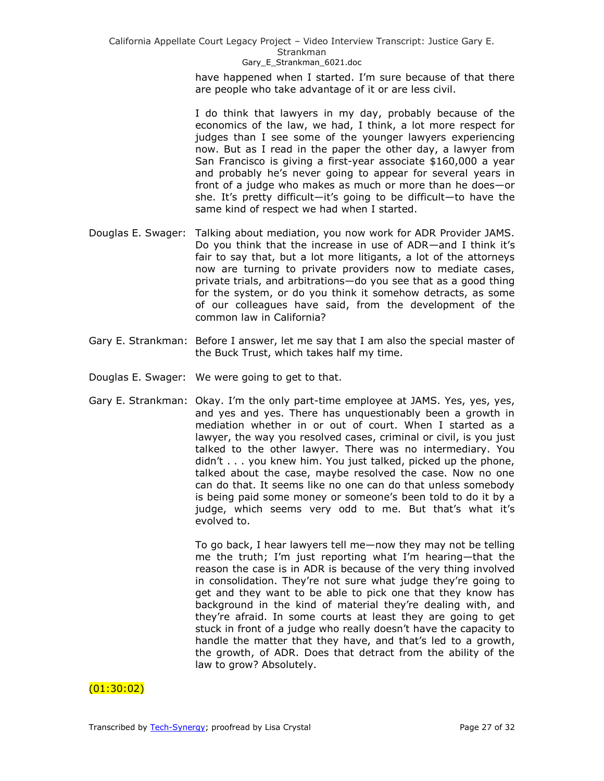> have happened when I started. I'm sure because of that there are people who take advantage of it or are less civil.

> I do think that lawyers in my day, probably because of the economics of the law, we had, I think, a lot more respect for judges than I see some of the younger lawyers experiencing now. But as I read in the paper the other day, a lawyer from San Francisco is giving a first-year associate \$160,000 a year and probably he's never going to appear for several years in front of a judge who makes as much or more than he does—or she. It's pretty difficult—it's going to be difficult—to have the same kind of respect we had when I started.

- Douglas E. Swager: Talking about mediation, you now work for ADR Provider JAMS. Do you think that the increase in use of ADR—and I think it's fair to say that, but a lot more litigants, a lot of the attorneys now are turning to private providers now to mediate cases, private trials, and arbitrations—do you see that as a good thing for the system, or do you think it somehow detracts, as some of our colleagues have said, from the development of the common law in California?
- Gary E. Strankman: Before I answer, let me say that I am also the special master of the Buck Trust, which takes half my time.
- Douglas E. Swager: We were going to get to that.
- Gary E. Strankman: Okay. I'm the only part-time employee at JAMS. Yes, yes, yes, and yes and yes. There has unquestionably been a growth in mediation whether in or out of court. When I started as a lawyer, the way you resolved cases, criminal or civil, is you just talked to the other lawyer. There was no intermediary. You didn't . . . you knew him. You just talked, picked up the phone, talked about the case, maybe resolved the case. Now no one can do that. It seems like no one can do that unless somebody is being paid some money or someone's been told to do it by a judge, which seems very odd to me. But that's what it's evolved to.

To go back, I hear lawyers tell me—now they may not be telling me the truth; I'm just reporting what I'm hearing—that the reason the case is in ADR is because of the very thing involved in consolidation. They're not sure what judge they're going to get and they want to be able to pick one that they know has background in the kind of material they're dealing with, and they're afraid. In some courts at least they are going to get stuck in front of a judge who really doesn't have the capacity to handle the matter that they have, and that's led to a growth, the growth, of ADR. Does that detract from the ability of the law to grow? Absolutely.

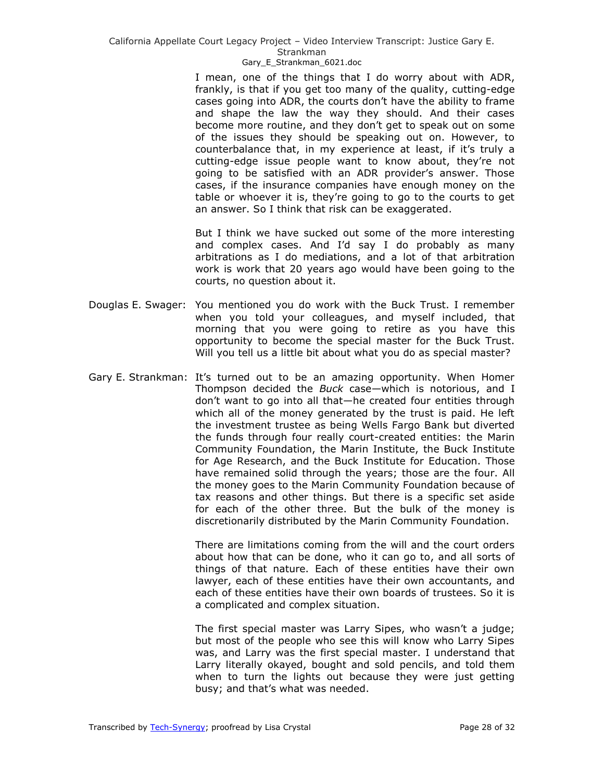#### Strankman

### Gary E Strankman 6021.doc

I mean, one of the things that I do worry about with ADR, frankly, is that if you get too many of the quality, cutting-edge cases going into ADR, the courts don't have the ability to frame and shape the law the way they should. And their cases become more routine, and they don't get to speak out on some of the issues they should be speaking out on. However, to counterbalance that, in my experience at least, if it's truly a cutting-edge issue people want to know about, they're not going to be satisfied with an ADR provider's answer. Those cases, if the insurance companies have enough money on the table or whoever it is, they're going to go to the courts to get an answer. So I think that risk can be exaggerated.

But I think we have sucked out some of the more interesting and complex cases. And I'd say I do probably as many arbitrations as I do mediations, and a lot of that arbitration work is work that 20 years ago would have been going to the courts, no question about it.

- Douglas E. Swager: You mentioned you do work with the Buck Trust. I remember when you told your colleagues, and myself included, that morning that you were going to retire as you have this opportunity to become the special master for the Buck Trust. Will you tell us a little bit about what you do as special master?
- Gary E. Strankman: It's turned out to be an amazing opportunity. When Homer Thompson decided the *Buck* case—which is notorious, and I don't want to go into all that—he created four entities through which all of the money generated by the trust is paid. He left the investment trustee as being Wells Fargo Bank but diverted the funds through four really court-created entities: the Marin Community Foundation, the Marin Institute, the Buck Institute for Age Research, and the Buck Institute for Education. Those have remained solid through the years; those are the four. All the money goes to the Marin Community Foundation because of tax reasons and other things. But there is a specific set aside for each of the other three. But the bulk of the money is discretionarily distributed by the Marin Community Foundation.

There are limitations coming from the will and the court orders about how that can be done, who it can go to, and all sorts of things of that nature. Each of these entities have their own lawyer, each of these entities have their own accountants, and each of these entities have their own boards of trustees. So it is a complicated and complex situation.

The first special master was Larry Sipes, who wasn't a judge; but most of the people who see this will know who Larry Sipes was, and Larry was the first special master. I understand that Larry literally okayed, bought and sold pencils, and told them when to turn the lights out because they were just getting busy; and that's what was needed.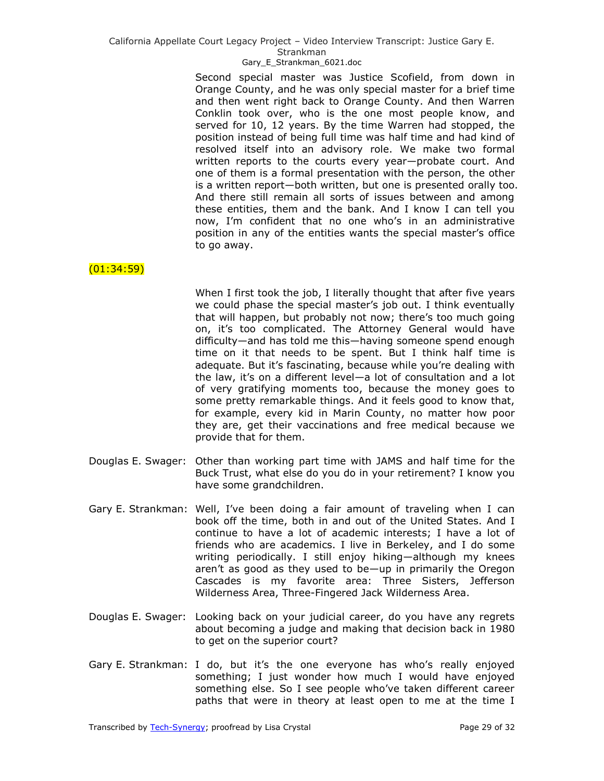## Gary E Strankman 6021.doc

Second special master was Justice Scofield, from down in Orange County, and he was only special master for a brief time and then went right back to Orange County. And then Warren Conklin took over, who is the one most people know, and served for 10, 12 years. By the time Warren had stopped, the position instead of being full time was half time and had kind of resolved itself into an advisory role. We make two formal written reports to the courts every year—probate court. And one of them is a formal presentation with the person, the other is a written report—both written, but one is presented orally too. And there still remain all sorts of issues between and among these entities, them and the bank. And I know I can tell you now, I'm confident that no one who's in an administrative position in any of the entities wants the special master's office to go away.

## (01:34:59)

When I first took the job, I literally thought that after five years we could phase the special master's job out. I think eventually that will happen, but probably not now; there's too much going on, it's too complicated. The Attorney General would have difficulty—and has told me this—having someone spend enough time on it that needs to be spent. But I think half time is adequate. But it's fascinating, because while you're dealing with the law, it's on a different level—a lot of consultation and a lot of very gratifying moments too, because the money goes to some pretty remarkable things. And it feels good to know that, for example, every kid in Marin County, no matter how poor they are, get their vaccinations and free medical because we provide that for them.

- Douglas E. Swager: Other than working part time with JAMS and half time for the Buck Trust, what else do you do in your retirement? I know you have some grandchildren.
- Gary E. Strankman: Well, I've been doing a fair amount of traveling when I can book off the time, both in and out of the United States. And I continue to have a lot of academic interests; I have a lot of friends who are academics. I live in Berkeley, and I do some writing periodically. I still enjoy hiking—although my knees aren't as good as they used to be—up in primarily the Oregon Cascades is my favorite area: Three Sisters, Jefferson Wilderness Area, Three-Fingered Jack Wilderness Area.
- Douglas E. Swager: Looking back on your judicial career, do you have any regrets about becoming a judge and making that decision back in 1980 to get on the superior court?
- Gary E. Strankman: I do, but it's the one everyone has who's really enjoyed something; I just wonder how much I would have enjoyed something else. So I see people who've taken different career paths that were in theory at least open to me at the time I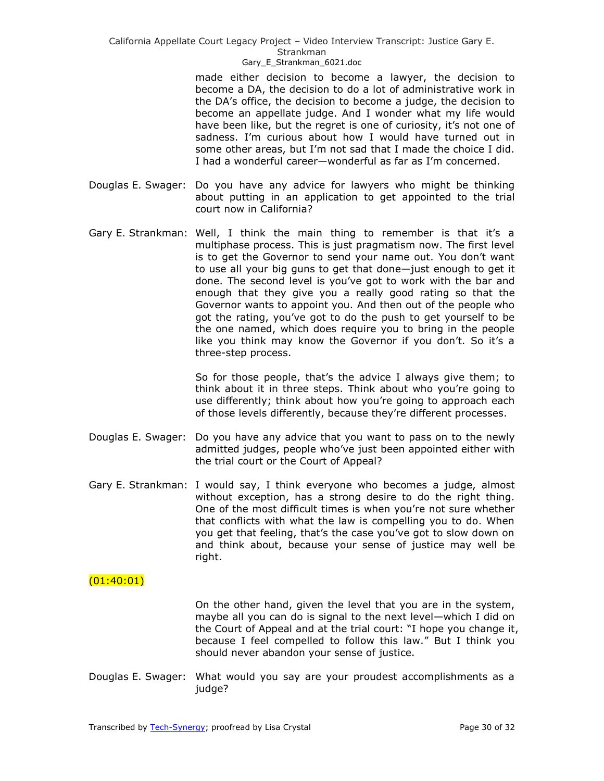### Gary E Strankman 6021.doc

made either decision to become a lawyer, the decision to become a DA, the decision to do a lot of administrative work in the DA's office, the decision to become a judge, the decision to become an appellate judge. And I wonder what my life would have been like, but the regret is one of curiosity, it's not one of sadness. I'm curious about how I would have turned out in some other areas, but I'm not sad that I made the choice I did. I had a wonderful career—wonderful as far as I'm concerned.

- Douglas E. Swager: Do you have any advice for lawyers who might be thinking about putting in an application to get appointed to the trial court now in California?
- Gary E. Strankman: Well, I think the main thing to remember is that it's a multiphase process. This is just pragmatism now. The first level is to get the Governor to send your name out. You don't want to use all your big guns to get that done—just enough to get it done. The second level is you've got to work with the bar and enough that they give you a really good rating so that the Governor wants to appoint you. And then out of the people who got the rating, you've got to do the push to get yourself to be the one named, which does require you to bring in the people like you think may know the Governor if you don't. So it's a three-step process.

So for those people, that's the advice I always give them; to think about it in three steps. Think about who you're going to use differently; think about how you're going to approach each of those levels differently, because they're different processes.

- Douglas E. Swager: Do you have any advice that you want to pass on to the newly admitted judges, people who've just been appointed either with the trial court or the Court of Appeal?
- Gary E. Strankman: I would say, I think everyone who becomes a judge, almost without exception, has a strong desire to do the right thing. One of the most difficult times is when you're not sure whether that conflicts with what the law is compelling you to do. When you get that feeling, that's the case you've got to slow down on and think about, because your sense of justice may well be right.

## $(01:40:01)$

On the other hand, given the level that you are in the system, maybe all you can do is signal to the next level—which I did on the Court of Appeal and at the trial court: "I hope you change it, because I feel compelled to follow this law." But I think you should never abandon your sense of justice.

Douglas E. Swager: What would you say are your proudest accomplishments as a judge?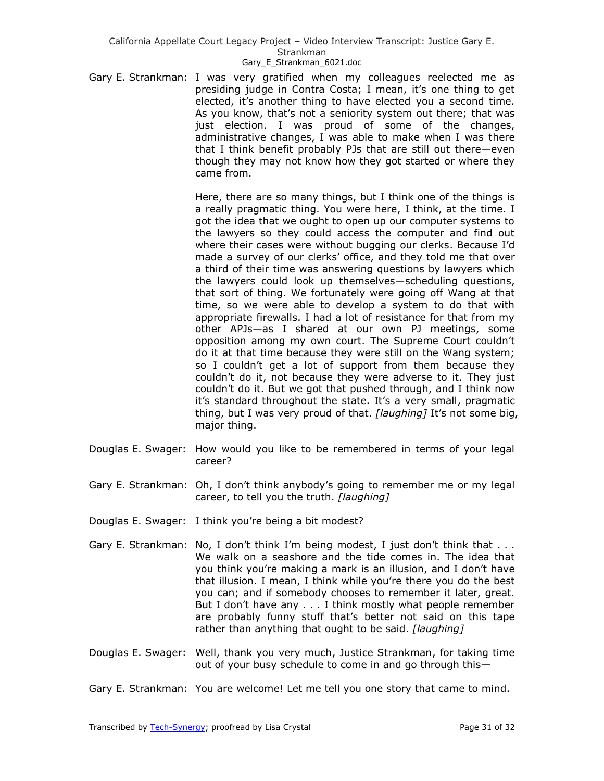Gary E. Strankman: I was very gratified when my colleagues reelected me as presiding judge in Contra Costa; I mean, it's one thing to get elected, it's another thing to have elected you a second time. As you know, that's not a seniority system out there; that was just election. I was proud of some of the changes, administrative changes, I was able to make when I was there that I think benefit probably PJs that are still out there—even though they may not know how they got started or where they came from.

> Here, there are so many things, but I think one of the things is a really pragmatic thing. You were here, I think, at the time. I got the idea that we ought to open up our computer systems to the lawyers so they could access the computer and find out where their cases were without bugging our clerks. Because I'd made a survey of our clerks' office, and they told me that over a third of their time was answering questions by lawyers which the lawyers could look up themselves—scheduling questions, that sort of thing. We fortunately were going off Wang at that time, so we were able to develop a system to do that with appropriate firewalls. I had a lot of resistance for that from my other APJs—as I shared at our own PJ meetings, some opposition among my own court. The Supreme Court couldn't do it at that time because they were still on the Wang system; so I couldn't get a lot of support from them because they couldn't do it, not because they were adverse to it. They just couldn't do it. But we got that pushed through, and I think now it's standard throughout the state. It's a very small, pragmatic thing, but I was very proud of that. *[laughing]* It's not some big, major thing.

- Douglas E. Swager: How would you like to be remembered in terms of your legal career?
- Gary E. Strankman: Oh, I don't think anybody's going to remember me or my legal career, to tell you the truth. *[laughing]*
- Douglas E. Swager: I think you're being a bit modest?
- Gary E. Strankman: No, I don't think I'm being modest, I just don't think that . . . We walk on a seashore and the tide comes in. The idea that you think you're making a mark is an illusion, and I don't have that illusion. I mean, I think while you're there you do the best you can; and if somebody chooses to remember it later, great. But I don't have any . . . I think mostly what people remember are probably funny stuff that's better not said on this tape rather than anything that ought to be said. *[laughing]*
- Douglas E. Swager: Well, thank you very much, Justice Strankman, for taking time out of your busy schedule to come in and go through this—
- Gary E. Strankman: You are welcome! Let me tell you one story that came to mind.